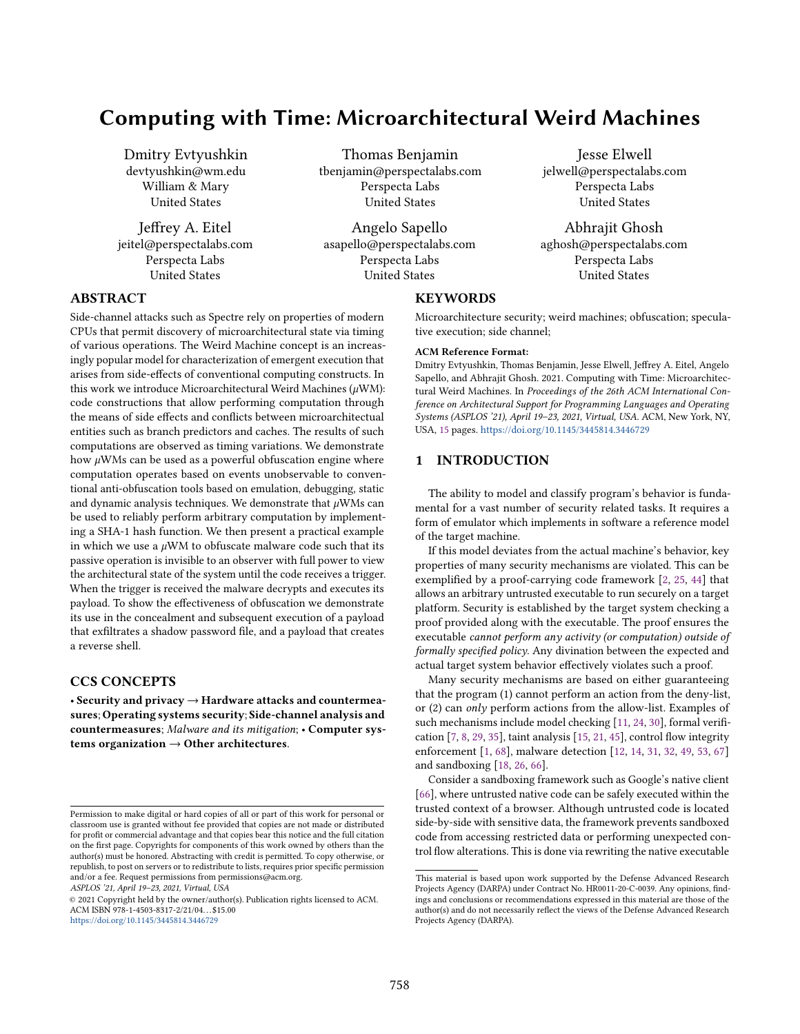# Computing with Time: Microarchitectural Weird Machines

Dmitry Evtyushkin devtyushkin@wm.edu William & Mary United States

Jeffrey A. Eitel jeitel@perspectalabs.com Perspecta Labs United States

Thomas Benjamin tbenjamin@perspectalabs.com Perspecta Labs United States

Angelo Sapello asapello@perspectalabs.com Perspecta Labs United States

## **KEYWORDS**

Microarchitecture security; weird machines; obfuscation; speculative execution; side channel;

Jesse Elwell jelwell@perspectalabs.com Perspecta Labs United States

Abhrajit Ghosh aghosh@perspectalabs.com Perspecta Labs United States

#### ACM Reference Format:

Dmitry Evtyushkin, Thomas Benjamin, Jesse Elwell, Jeffrey A. Eitel, Angelo Sapello, and Abhrajit Ghosh. 2021. Computing with Time: Microarchitectural Weird Machines. In Proceedings of the 26th ACM International Conference on Architectural Support for Programming Languages and Operating Systems (ASPLOS '21), April 19–23, 2021, Virtual, USA. ACM, New York, NY, USA, [15](#page-14-0) pages. <https://doi.org/10.1145/3445814.3446729>

### <span id="page-0-0"></span>1 INTRODUCTION

The ability to model and classify program's behavior is fundamental for a vast number of security related tasks. It requires a form of emulator which implements in software a reference model of the target machine.

If this model deviates from the actual machine's behavior, key properties of many security mechanisms are violated. This can be exemplified by a proof-carrying code framework [\[2,](#page-12-0) [25,](#page-13-0) [44\]](#page-13-1) that allows an arbitrary untrusted executable to run securely on a target platform. Security is established by the target system checking a proof provided along with the executable. The proof ensures the executable cannot perform any activity (or computation) outside of formally specified policy. Any divination between the expected and actual target system behavior effectively violates such a proof.

Many security mechanisms are based on either guaranteeing that the program (1) cannot perform an action from the deny-list, or (2) can only perform actions from the allow-list. Examples of such mechanisms include model checking [\[11,](#page-12-1) [24,](#page-13-2) [30\]](#page-13-3), formal verification [\[7,](#page-12-2) [8,](#page-12-3) [29,](#page-13-4) [35\]](#page-13-5), taint analysis [\[15,](#page-12-4) [21,](#page-13-6) [45\]](#page-13-7), control flow integrity enforcement [\[1,](#page-12-5) [68\]](#page-14-1), malware detection [\[12,](#page-12-6) [14,](#page-12-7) [31,](#page-13-8) [32,](#page-13-9) [49,](#page-13-10) [53,](#page-13-11) [67\]](#page-14-2) and sandboxing [\[18,](#page-13-12) [26,](#page-13-13) [66\]](#page-14-3).

Consider a sandboxing framework such as Google's native client [\[66\]](#page-14-3), where untrusted native code can be safely executed within the trusted context of a browser. Although untrusted code is located side-by-side with sensitive data, the framework prevents sandboxed code from accessing restricted data or performing unexpected control flow alterations. This is done via rewriting the native executable

### ABSTRACT

Side-channel attacks such as Spectre rely on properties of modern CPUs that permit discovery of microarchitectural state via timing of various operations. The Weird Machine concept is an increasingly popular model for characterization of emergent execution that arises from side-effects of conventional computing constructs. In this work we introduce Microarchitectural Weird Machines  $(\mu$ WM): code constructions that allow performing computation through the means of side effects and conflicts between microarchitectual entities such as branch predictors and caches. The results of such computations are observed as timing variations. We demonstrate how  $\mu$ WMs can be used as a powerful obfuscation engine where computation operates based on events unobservable to conventional anti-obfuscation tools based on emulation, debugging, static and dynamic analysis techniques. We demonstrate that  $\mu$ WMs can be used to reliably perform arbitrary computation by implementing a SHA-1 hash function. We then present a practical example in which we use a  $\mu$ WM to obfuscate malware code such that its passive operation is invisible to an observer with full power to view the architectural state of the system until the code receives a trigger. When the trigger is received the malware decrypts and executes its payload. To show the effectiveness of obfuscation we demonstrate its use in the concealment and subsequent execution of a payload that exfiltrates a shadow password file, and a payload that creates a reverse shell.

### CCS CONCEPTS

• Security and privacy  $\rightarrow$  Hardware attacks and countermeasures; Operating systems security; Side-channel analysis and countermeasures; Malware and its mitigation; • Computer systems organization  $\rightarrow$  Other architectures.

ASPLOS '21, April 19–23, 2021, Virtual, USA

© 2021 Copyright held by the owner/author(s). Publication rights licensed to ACM. ACM ISBN 978-1-4503-8317-2/21/04. . . \$15.00 <https://doi.org/10.1145/3445814.3446729>

This material is based upon work supported by the Defense Advanced Research Projects Agency (DARPA) under Contract No. HR0011-20-C-0039. Any opinions, findings and conclusions or recommendations expressed in this material are those of the author(s) and do not necessarily reflect the views of the Defense Advanced Research Projects Agency (DARPA).

Permission to make digital or hard copies of all or part of this work for personal or classroom use is granted without fee provided that copies are not made or distributed for profit or commercial advantage and that copies bear this notice and the full citation on the first page. Copyrights for components of this work owned by others than the author(s) must be honored. Abstracting with credit is permitted. To copy otherwise, or republish, to post on servers or to redistribute to lists, requires prior specific permission and/or a fee. Request permissions from permissions@acm.org.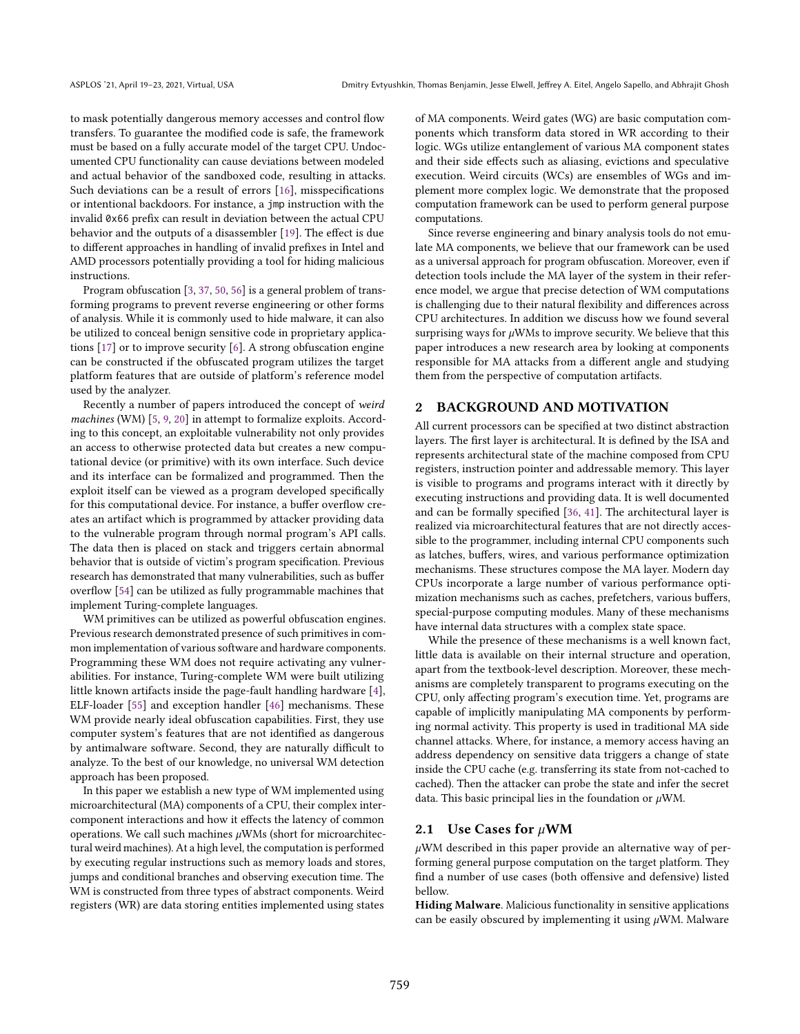to mask potentially dangerous memory accesses and control flow transfers. To guarantee the modified code is safe, the framework must be based on a fully accurate model of the target CPU. Undocumented CPU functionality can cause deviations between modeled and actual behavior of the sandboxed code, resulting in attacks. Such deviations can be a result of errors [\[16\]](#page-13-14), misspecifications or intentional backdoors. For instance, a jmp instruction with the invalid 0x66 prefix can result in deviation between the actual CPU behavior and the outputs of a disassembler [\[19\]](#page-13-15). The effect is due to different approaches in handling of invalid prefixes in Intel and AMD processors potentially providing a tool for hiding malicious instructions.

Program obfuscation [\[3,](#page-12-8) [37,](#page-13-16) [50,](#page-13-17) [56\]](#page-13-18) is a general problem of transforming programs to prevent reverse engineering or other forms of analysis. While it is commonly used to hide malware, it can also be utilized to conceal benign sensitive code in proprietary applications [\[17\]](#page-13-19) or to improve security [\[6\]](#page-12-9). A strong obfuscation engine can be constructed if the obfuscated program utilizes the target platform features that are outside of platform's reference model used by the analyzer.

Recently a number of papers introduced the concept of weird machines (WM) [\[5,](#page-12-10) [9,](#page-12-11) [20\]](#page-13-20) in attempt to formalize exploits. According to this concept, an exploitable vulnerability not only provides an access to otherwise protected data but creates a new computational device (or primitive) with its own interface. Such device and its interface can be formalized and programmed. Then the exploit itself can be viewed as a program developed specifically for this computational device. For instance, a buffer overflow creates an artifact which is programmed by attacker providing data to the vulnerable program through normal program's API calls. The data then is placed on stack and triggers certain abnormal behavior that is outside of victim's program specification. Previous research has demonstrated that many vulnerabilities, such as buffer overflow [\[54\]](#page-13-21) can be utilized as fully programmable machines that implement Turing-complete languages.

WM primitives can be utilized as powerful obfuscation engines. Previous research demonstrated presence of such primitives in common implementation of various software and hardware components. Programming these WM does not require activating any vulnerabilities. For instance, Turing-complete WM were built utilizing little known artifacts inside the page-fault handling hardware [\[4\]](#page-12-12), ELF-loader [\[55\]](#page-13-22) and exception handler [\[46\]](#page-13-23) mechanisms. These WM provide nearly ideal obfuscation capabilities. First, they use computer system's features that are not identified as dangerous by antimalware software. Second, they are naturally difficult to analyze. To the best of our knowledge, no universal WM detection approach has been proposed.

In this paper we establish a new type of WM implemented using microarchitectural (MA) components of a CPU, their complex intercomponent interactions and how it effects the latency of common operations. We call such machines  $\mu$ WMs (short for microarchitectural weird machines). At a high level, the computation is performed by executing regular instructions such as memory loads and stores, jumps and conditional branches and observing execution time. The WM is constructed from three types of abstract components. Weird registers (WR) are data storing entities implemented using states

of MA components. Weird gates (WG) are basic computation components which transform data stored in WR according to their logic. WGs utilize entanglement of various MA component states and their side effects such as aliasing, evictions and speculative execution. Weird circuits (WCs) are ensembles of WGs and implement more complex logic. We demonstrate that the proposed computation framework can be used to perform general purpose computations.

Since reverse engineering and binary analysis tools do not emulate MA components, we believe that our framework can be used as a universal approach for program obfuscation. Moreover, even if detection tools include the MA layer of the system in their reference model, we argue that precise detection of WM computations is challenging due to their natural flexibility and differences across CPU architectures. In addition we discuss how we found several surprising ways for  $\mu$ WMs to improve security. We believe that this paper introduces a new research area by looking at components responsible for MA attacks from a different angle and studying them from the perspective of computation artifacts.

### 2 BACKGROUND AND MOTIVATION

All current processors can be specified at two distinct abstraction layers. The first layer is architectural. It is defined by the ISA and represents architectural state of the machine composed from CPU registers, instruction pointer and addressable memory. This layer is visible to programs and programs interact with it directly by executing instructions and providing data. It is well documented and can be formally specified [\[36,](#page-13-24) [41\]](#page-13-25). The architectural layer is realized via microarchitectural features that are not directly accessible to the programmer, including internal CPU components such as latches, buffers, wires, and various performance optimization mechanisms. These structures compose the MA layer. Modern day CPUs incorporate a large number of various performance optimization mechanisms such as caches, prefetchers, various buffers, special-purpose computing modules. Many of these mechanisms have internal data structures with a complex state space.

While the presence of these mechanisms is a well known fact, little data is available on their internal structure and operation, apart from the textbook-level description. Moreover, these mechanisms are completely transparent to programs executing on the CPU, only affecting program's execution time. Yet, programs are capable of implicitly manipulating MA components by performing normal activity. This property is used in traditional MA side channel attacks. Where, for instance, a memory access having an address dependency on sensitive data triggers a change of state inside the CPU cache (e.g. transferring its state from not-cached to cached). Then the attacker can probe the state and infer the secret data. This basic principal lies in the foundation or  $\mu$ WM.

#### 2.1 Use Cases for  $\mu$ WM

 $\mu$ WM described in this paper provide an alternative way of performing general purpose computation on the target platform. They find a number of use cases (both offensive and defensive) listed bellow.

Hiding Malware. Malicious functionality in sensitive applications can be easily obscured by implementing it using  $\mu$ WM. Malware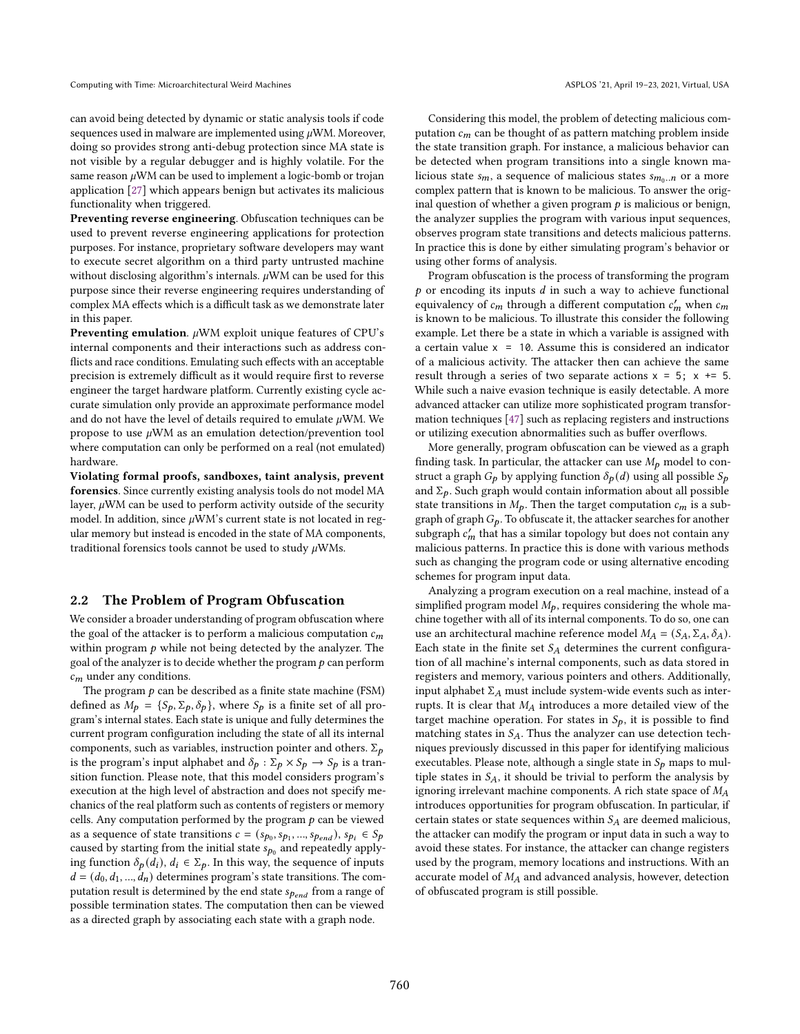can avoid being detected by dynamic or static analysis tools if code sequences used in malware are implemented using  $\mu$ WM. Moreover, doing so provides strong anti-debug protection since MA state is not visible by a regular debugger and is highly volatile. For the same reason  $\mu$ WM can be used to implement a logic-bomb or trojan application [\[27\]](#page-13-26) which appears benign but activates its malicious functionality when triggered.

Preventing reverse engineering. Obfuscation techniques can be used to prevent reverse engineering applications for protection purposes. For instance, proprietary software developers may want to execute secret algorithm on a third party untrusted machine without disclosing algorithm's internals.  $\mu$ WM can be used for this purpose since their reverse engineering requires understanding of complex MA effects which is a difficult task as we demonstrate later in this paper.

**Preventing emulation.**  $\mu$ WM exploit unique features of CPU's internal components and their interactions such as address conflicts and race conditions. Emulating such effects with an acceptable precision is extremely difficult as it would require first to reverse engineer the target hardware platform. Currently existing cycle accurate simulation only provide an approximate performance model and do not have the level of details required to emulate  $\mu$ WM. We propose to use  $\mu$ WM as an emulation detection/prevention tool where computation can only be performed on a real (not emulated) hardware.

Violating formal proofs, sandboxes, taint analysis, prevent forensics. Since currently existing analysis tools do not model MA layer,  $\mu$ WM can be used to perform activity outside of the security model. In addition, since  $\mu$ WM's current state is not located in regular memory but instead is encoded in the state of MA components, traditional forensics tools cannot be used to study  $\mu$ WMs.

#### 2.2 The Problem of Program Obfuscation

We consider a broader understanding of program obfuscation where the goal of the attacker is to perform a malicious computation  $c_m$ within program  $p$  while not being detected by the analyzer. The goal of the analyzer is to decide whether the program  $p$  can perform  $c_m$  under any conditions.

The program  $p$  can be described as a finite state machine (FSM) defined as  $M_p = \{S_p, \Sigma_p, \delta_p\}$ , where  $S_p$  is a finite set of all program's internal states. Each state is unique and fully determines the current program configuration including the state of all its internal components, such as variables, instruction pointer and others.  $\Sigma_p$ is the program's input alphabet and  $\delta_p : \Sigma_p \times S_p \to S_p$  is a transition function. Please note, that this model considers program's execution at the high level of abstraction and does not specify mechanics of the real platform such as contents of registers or memory cells. Any computation performed by the program  $p$  can be viewed as a sequence of state transitions  $c = (s_{p_0}, s_{p_1}, ..., s_{p_{end}}), s_{p_i} \in S_p$ caused by starting from the initial state  $s_{p_0}$  and repeatedly applying function  $\delta_p(d_i)$ ,  $d_i \in \Sigma_p$ . In this way, the sequence of inputs  $d = (d_0, d_1, ..., d_n)$  determines program's state transitions. The computation result is determined by the end state  $s_{\rho_{end}}$  from a range of possible termination states. The computation then can be viewed as a directed graph by associating each state with a graph node.

Considering this model, the problem of detecting malicious computation  $c_m$  can be thought of as pattern matching problem inside the state transition graph. For instance, a malicious behavior can be detected when program transitions into a single known malicious state  $s_m$ , a sequence of malicious states  $s_{m_0..n}$  or a more complex pattern that is known to be malicious. To answer the original question of whether a given program  $p$  is malicious or benign, the analyzer supplies the program with various input sequences, observes program state transitions and detects malicious patterns. In practice this is done by either simulating program's behavior or using other forms of analysis.

Program obfuscation is the process of transforming the program  $p$  or encoding its inputs  $d$  in such a way to achieve functional equivalency of  $c_m$  through a different computation  $c'_m$  when  $c_m$ is known to be malicious. To illustrate this consider the following example. Let there be a state in which a variable is assigned with a certain value  $x = 10$ . Assume this is considered an indicator of a malicious activity. The attacker then can achieve the same result through a series of two separate actions  $x = 5$ ;  $x \ne 5$ . While such a naive evasion technique is easily detectable. A more advanced attacker can utilize more sophisticated program transformation techniques [\[47\]](#page-13-27) such as replacing registers and instructions or utilizing execution abnormalities such as buffer overflows.

More generally, program obfuscation can be viewed as a graph finding task. In particular, the attacker can use  $M_p$  model to construct a graph  $G_p$  by applying function  $\delta_p(d)$  using all possible  $S_p$ and  $\Sigma_p$ . Such graph would contain information about all possible state transitions in  $M_p$ . Then the target computation  $c_m$  is a subgraph of graph  $G_p$ . To obfuscate it, the attacker searches for another subgraph  $c'_m$  that has a similar topology but does not contain any malicious patterns. In practice this is done with various methods such as changing the program code or using alternative encoding schemes for program input data.

Analyzing a program execution on a real machine, instead of a simplified program model  $M_p$ , requires considering the whole machine together with all of its internal components. To do so, one can use an architectural machine reference model  $M_A = (S_A, \Sigma_A, \delta_A)$ . Each state in the finite set  $S_A$  determines the current configuration of all machine's internal components, such as data stored in registers and memory, various pointers and others. Additionally, input alphabet  $\Sigma_A$  must include system-wide events such as interrupts. It is clear that  $M_A$  introduces a more detailed view of the target machine operation. For states in  $S_p$ , it is possible to find matching states in  $S_A$ . Thus the analyzer can use detection techniques previously discussed in this paper for identifying malicious executables. Please note, although a single state in  $S_p$  maps to multiple states in  $S_A$ , it should be trivial to perform the analysis by ignoring irrelevant machine components. A rich state space of  $M_A$ introduces opportunities for program obfuscation. In particular, if certain states or state sequences within  $S_A$  are deemed malicious, the attacker can modify the program or input data in such a way to avoid these states. For instance, the attacker can change registers used by the program, memory locations and instructions. With an accurate model of  $M_A$  and advanced analysis, however, detection of obfuscated program is still possible.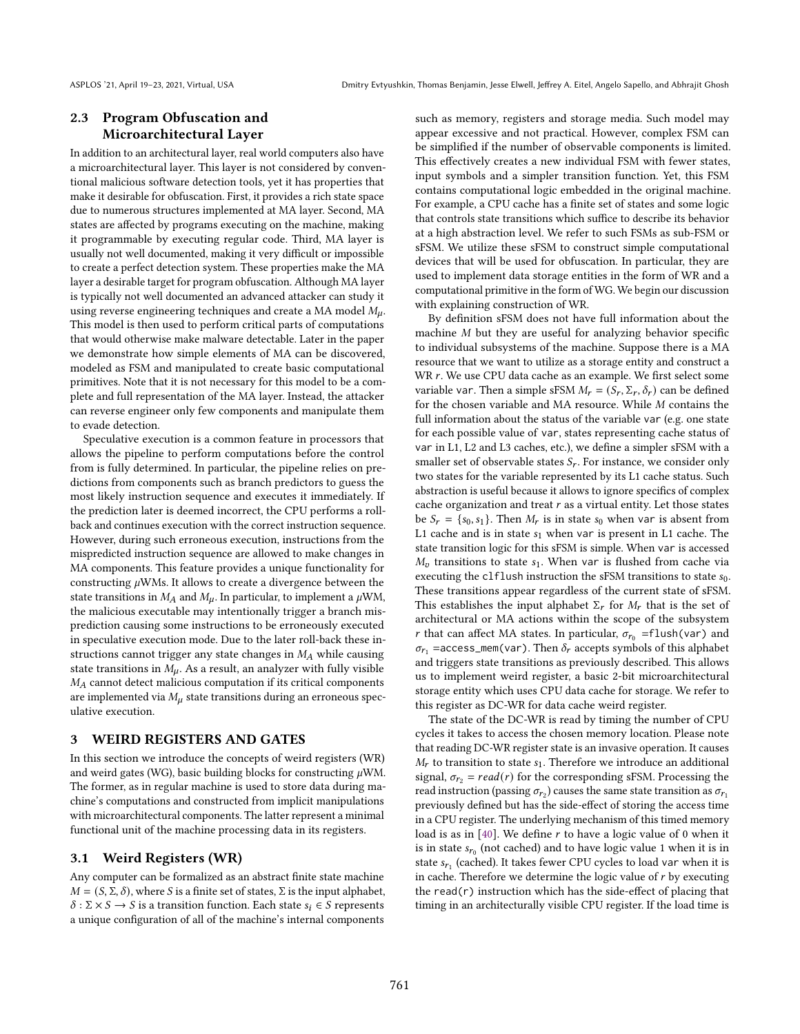### 2.3 Program Obfuscation and Microarchitectural Layer

In addition to an architectural layer, real world computers also have a microarchitectural layer. This layer is not considered by conventional malicious software detection tools, yet it has properties that make it desirable for obfuscation. First, it provides a rich state space due to numerous structures implemented at MA layer. Second, MA states are affected by programs executing on the machine, making it programmable by executing regular code. Third, MA layer is usually not well documented, making it very difficult or impossible to create a perfect detection system. These properties make the MA layer a desirable target for program obfuscation. Although MA layer is typically not well documented an advanced attacker can study it using reverse engineering techniques and create a MA model  $M_{\mu}$ . This model is then used to perform critical parts of computations that would otherwise make malware detectable. Later in the paper we demonstrate how simple elements of MA can be discovered, modeled as FSM and manipulated to create basic computational primitives. Note that it is not necessary for this model to be a complete and full representation of the MA layer. Instead, the attacker can reverse engineer only few components and manipulate them to evade detection.

Speculative execution is a common feature in processors that allows the pipeline to perform computations before the control from is fully determined. In particular, the pipeline relies on predictions from components such as branch predictors to guess the most likely instruction sequence and executes it immediately. If the prediction later is deemed incorrect, the CPU performs a rollback and continues execution with the correct instruction sequence. However, during such erroneous execution, instructions from the mispredicted instruction sequence are allowed to make changes in MA components. This feature provides a unique functionality for constructing  $\mu$ WMs. It allows to create a divergence between the state transitions in  $M_A$  and  $M_u$ . In particular, to implement a  $\mu$ WM, the malicious executable may intentionally trigger a branch misprediction causing some instructions to be erroneously executed in speculative execution mode. Due to the later roll-back these instructions cannot trigger any state changes in  $M_A$  while causing state transitions in  $M_{\mu}$ . As a result, an analyzer with fully visible  $M_A$  cannot detect malicious computation if its critical components are implemented via  $M_{\mu}$  state transitions during an erroneous speculative execution.

### 3 WEIRD REGISTERS AND GATES

In this section we introduce the concepts of weird registers (WR) and weird gates (WG), basic building blocks for constructing  $\mu$ WM. The former, as in regular machine is used to store data during machine's computations and constructed from implicit manipulations with microarchitectural components. The latter represent a minimal functional unit of the machine processing data in its registers.

#### 3.1 Weird Registers (WR)

Any computer can be formalized as an abstract finite state machine  $M = (S, \Sigma, \delta)$ , where S is a finite set of states,  $\Sigma$  is the input alphabet,  $\delta$ :  $\Sigma \times S \rightarrow S$  is a transition function. Each state  $s_i \in S$  represents a unique configuration of all of the machine's internal components such as memory, registers and storage media. Such model may appear excessive and not practical. However, complex FSM can be simplified if the number of observable components is limited. This effectively creates a new individual FSM with fewer states, input symbols and a simpler transition function. Yet, this FSM contains computational logic embedded in the original machine. For example, a CPU cache has a finite set of states and some logic that controls state transitions which suffice to describe its behavior at a high abstraction level. We refer to such FSMs as sub-FSM or sFSM. We utilize these sFSM to construct simple computational devices that will be used for obfuscation. In particular, they are used to implement data storage entities in the form of WR and a computational primitive in the form of WG. We begin our discussion with explaining construction of WR.

By definition sFSM does not have full information about the machine  $M$  but they are useful for analyzing behavior specific to individual subsystems of the machine. Suppose there is a MA resource that we want to utilize as a storage entity and construct a WR  $r$ . We use CPU data cache as an example. We first select some variable var. Then a simple sFSM  $M_r = (S_r, \Sigma_r, \delta_r)$  can be defined for the chosen variable and MA resource. While  $M$  contains the full information about the status of the variable var (e.g. one state for each possible value of var, states representing cache status of var in L1, L2 and L3 caches, etc.), we define a simpler sFSM with a smaller set of observable states  $S_r$ . For instance, we consider only two states for the variable represented by its L1 cache status. Such abstraction is useful because it allows to ignore specifics of complex cache organization and treat  $r$  as a virtual entity. Let those states be  $S_r = \{s_0, s_1\}$ . Then  $M_r$  is in state  $s_0$  when var is absent from L1 cache and is in state  $s_1$  when var is present in L1 cache. The state transition logic for this sFSM is simple. When var is accessed  $M_{\nu}$  transitions to state  $s_1$ . When var is flushed from cache via executing the c1f1ush instruction the sFSM transitions to state  $s_0$ . These transitions appear regardless of the current state of sFSM. This establishes the input alphabet  $\Sigma_r$  for  $M_r$  that is the set of architectural or MA actions within the scope of the subsystem r that can affect MA states. In particular,  $\sigma_{r_0}$  =flush(var) and  $\sigma_{r_1}$  =access\_mem(var). Then  $\delta_r$  accepts symbols of this alphabet and triggers state transitions as previously described. This allows us to implement weird register, a basic 2-bit microarchitectural storage entity which uses CPU data cache for storage. We refer to this register as DC-WR for data cache weird register.

The state of the DC-WR is read by timing the number of CPU cycles it takes to access the chosen memory location. Please note that reading DC-WR register state is an invasive operation. It causes  $M_r$  to transition to state  $s_1$ . Therefore we introduce an additional signal,  $\sigma_{r_2} = read(r)$  for the corresponding sFSM. Processing the read instruction (passing  $\sigma_{r_2}$ ) causes the same state transition as  $\sigma_{r_1}$ previously defined but has the side-effect of storing the access time in a CPU register. The underlying mechanism of this timed memory load is as in  $[40]$ . We define  $r$  to have a logic value of 0 when it is in state  $s_{r_0}$  (not cached) and to have logic value 1 when it is in state  $s_{r_1}$  (cached). It takes fewer CPU cycles to load var when it is in cache. Therefore we determine the logic value of  $r$  by executing the read( $r$ ) instruction which has the side-effect of placing that timing in an architecturally visible CPU register. If the load time is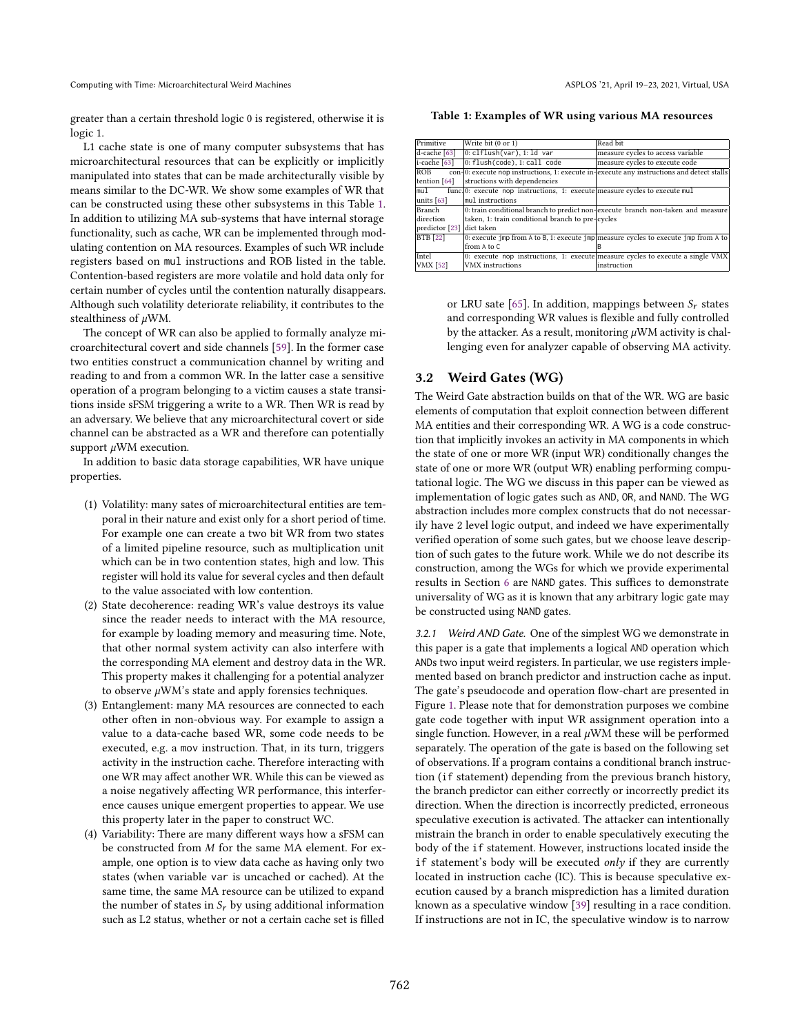greater than a certain threshold logic 0 is registered, otherwise it is logic 1.

L1 cache state is one of many computer subsystems that has microarchitectural resources that can be explicitly or implicitly manipulated into states that can be made architecturally visible by means similar to the DC-WR. We show some examples of WR that can be constructed using these other subsystems in this Table [1.](#page-4-0) In addition to utilizing MA sub-systems that have internal storage functionality, such as cache, WR can be implemented through modulating contention on MA resources. Examples of such WR include registers based on mul instructions and ROB listed in the table. Contention-based registers are more volatile and hold data only for certain number of cycles until the contention naturally disappears. Although such volatility deteriorate reliability, it contributes to the stealthiness of WM.

The concept of WR can also be applied to formally analyze microarchitectural covert and side channels [\[59\]](#page-13-29). In the former case two entities construct a communication channel by writing and reading to and from a common WR. In the latter case a sensitive operation of a program belonging to a victim causes a state transitions inside sFSM triggering a write to a WR. Then WR is read by an adversary. We believe that any microarchitectural covert or side channel can be abstracted as a WR and therefore can potentially support  $\mu$ WM execution.

In addition to basic data storage capabilities, WR have unique properties.

- (1) Volatility: many sates of microarchitectural entities are temporal in their nature and exist only for a short period of time. For example one can create a two bit WR from two states of a limited pipeline resource, such as multiplication unit which can be in two contention states, high and low. This register will hold its value for several cycles and then default to the value associated with low contention.
- (2) State decoherence: reading WR's value destroys its value since the reader needs to interact with the MA resource, for example by loading memory and measuring time. Note, that other normal system activity can also interfere with the corresponding MA element and destroy data in the WR. This property makes it challenging for a potential analyzer to observe  $\mu$ WM's state and apply forensics techniques.
- (3) Entanglement: many MA resources are connected to each other often in non-obvious way. For example to assign a value to a data-cache based WR, some code needs to be executed, e.g. a mov instruction. That, in its turn, triggers activity in the instruction cache. Therefore interacting with one WR may affect another WR. While this can be viewed as a noise negatively affecting WR performance, this interference causes unique emergent properties to appear. We use this property later in the paper to construct WC.
- (4) Variability: There are many different ways how a sFSM can be constructed from  $M$  for the same MA element. For example, one option is to view data cache as having only two states (when variable var is uncached or cached). At the same time, the same MA resource can be utilized to expand the number of states in  $S_r$  by using additional information such as L2 status, whether or not a certain cache set is filled

<span id="page-4-0"></span>Table 1: Examples of WR using various MA resources

| Write bit (0 or 1)             | Read bit                                                                                                                                                                                                                    |  |  |
|--------------------------------|-----------------------------------------------------------------------------------------------------------------------------------------------------------------------------------------------------------------------------|--|--|
| $0:$ clflush(var), 1: ld var   | measure cycles to access variable                                                                                                                                                                                           |  |  |
| $0:$ flush(code), 1: call code | measure cycles to execute code                                                                                                                                                                                              |  |  |
|                                |                                                                                                                                                                                                                             |  |  |
| structions with dependencies   |                                                                                                                                                                                                                             |  |  |
|                                |                                                                                                                                                                                                                             |  |  |
| mul instructions               |                                                                                                                                                                                                                             |  |  |
|                                | 0: train conditional branch to predict non-execute branch non-taken and measure                                                                                                                                             |  |  |
|                                |                                                                                                                                                                                                                             |  |  |
| predictor [23] dict taken      |                                                                                                                                                                                                                             |  |  |
|                                | 0: execute jmp from A to B, 1: execute jmp measure cycles to execute jmp from A to                                                                                                                                          |  |  |
| from A to C                    |                                                                                                                                                                                                                             |  |  |
|                                | 0: execute nop instructions, 1: execute measure cycles to execute a single VMX                                                                                                                                              |  |  |
| <b>VMX</b> instructions        | instruction                                                                                                                                                                                                                 |  |  |
|                                | con-0: execute nop instructions, 1: execute in-execute any instructions and detect stalls<br>func.0: execute nop instructions, 1: execute measure cycles to execute mul<br>taken, 1: train conditional branch to pre-cycles |  |  |

or LRU sate [\[65\]](#page-14-5). In addition, mappings between  $S_r$  states and corresponding WR values is flexible and fully controlled by the attacker. As a result, monitoring  $\mu$ WM activity is challenging even for analyzer capable of observing MA activity.

### <span id="page-4-1"></span>3.2 Weird Gates (WG)

The Weird Gate abstraction builds on that of the WR. WG are basic elements of computation that exploit connection between different MA entities and their corresponding WR. A WG is a code construction that implicitly invokes an activity in MA components in which the state of one or more WR (input WR) conditionally changes the state of one or more WR (output WR) enabling performing computational logic. The WG we discuss in this paper can be viewed as implementation of logic gates such as AND, OR, and NAND. The WG abstraction includes more complex constructs that do not necessarily have 2 level logic output, and indeed we have experimentally verified operation of some such gates, but we choose leave description of such gates to the future work. While we do not describe its construction, among the WGs for which we provide experimental results in Section [6](#page-10-0) are NAND gates. This suffices to demonstrate universality of WG as it is known that any arbitrary logic gate may be constructed using NAND gates.

<span id="page-4-2"></span>3.2.1 Weird AND Gate. One of the simplest WG we demonstrate in this paper is a gate that implements a logical AND operation which ANDs two input weird registers. In particular, we use registers implemented based on branch predictor and instruction cache as input. The gate's pseudocode and operation flow-chart are presented in Figure [1.](#page-5-0) Please note that for demonstration purposes we combine gate code together with input WR assignment operation into a single function. However, in a real  $\mu$ WM these will be performed separately. The operation of the gate is based on the following set of observations. If a program contains a conditional branch instruction (if statement) depending from the previous branch history, the branch predictor can either correctly or incorrectly predict its direction. When the direction is incorrectly predicted, erroneous speculative execution is activated. The attacker can intentionally mistrain the branch in order to enable speculatively executing the body of the if statement. However, instructions located inside the if statement's body will be executed only if they are currently located in instruction cache (IC). This is because speculative execution caused by a branch misprediction has a limited duration known as a speculative window [\[39\]](#page-13-34) resulting in a race condition. If instructions are not in IC, the speculative window is to narrow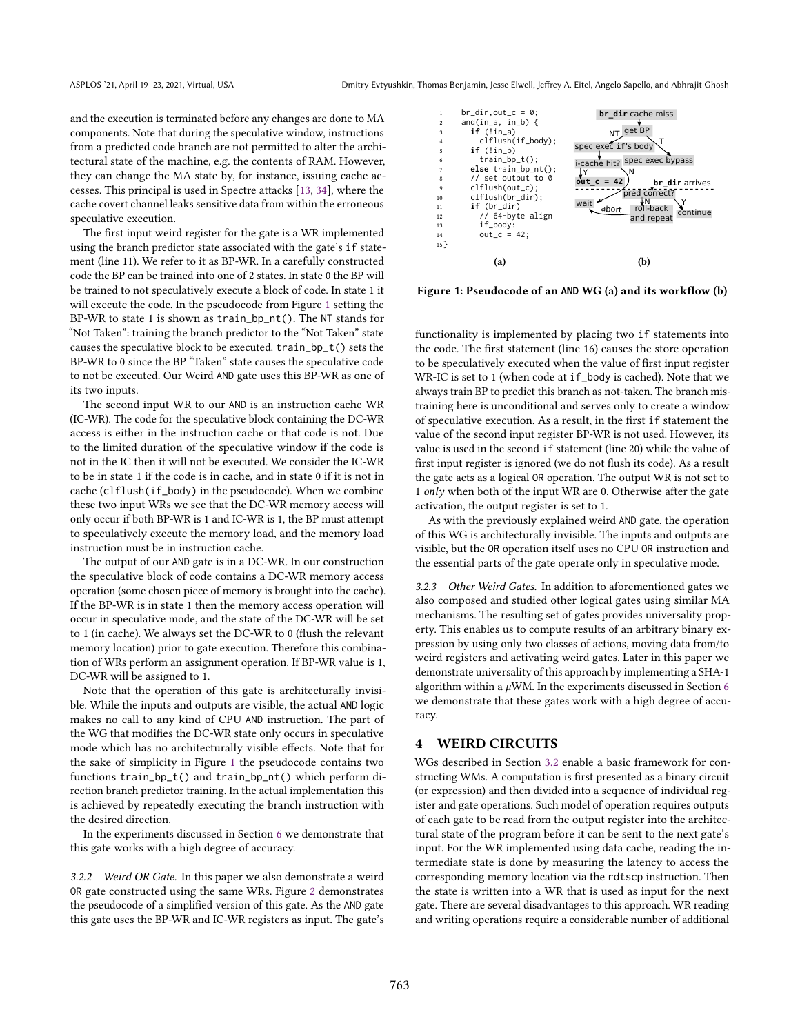and the execution is terminated before any changes are done to MA components. Note that during the speculative window, instructions from a predicted code branch are not permitted to alter the architectural state of the machine, e.g. the contents of RAM. However, they can change the MA state by, for instance, issuing cache accesses. This principal is used in Spectre attacks [\[13,](#page-12-13) [34\]](#page-13-35), where the cache covert channel leaks sensitive data from within the erroneous speculative execution.

The first input weird register for the gate is a WR implemented using the branch predictor state associated with the gate's if statement (line 11). We refer to it as BP-WR. In a carefully constructed code the BP can be trained into one of 2 states. In state 0 the BP will be trained to not speculatively execute a block of code. In state 1 it will execute the code. In the pseudocode from Figure [1](#page-5-0) setting the BP-WR to state 1 is shown as train\_bp\_nt(). The NT stands for "Not Taken": training the branch predictor to the "Not Taken" state causes the speculative block to be executed. train\_bp\_t() sets the BP-WR to 0 since the BP "Taken" state causes the speculative code to not be executed. Our Weird AND gate uses this BP-WR as one of its two inputs.

The second input WR to our AND is an instruction cache WR (IC-WR). The code for the speculative block containing the DC-WR access is either in the instruction cache or that code is not. Due to the limited duration of the speculative window if the code is not in the IC then it will not be executed. We consider the IC-WR to be in state 1 if the code is in cache, and in state 0 if it is not in cache (clflush(if\_body) in the pseudocode). When we combine these two input WRs we see that the DC-WR memory access will only occur if both BP-WR is 1 and IC-WR is 1, the BP must attempt to speculatively execute the memory load, and the memory load instruction must be in instruction cache.

The output of our AND gate is in a DC-WR. In our construction the speculative block of code contains a DC-WR memory access operation (some chosen piece of memory is brought into the cache). If the BP-WR is in state 1 then the memory access operation will occur in speculative mode, and the state of the DC-WR will be set to 1 (in cache). We always set the DC-WR to 0 (flush the relevant memory location) prior to gate execution. Therefore this combination of WRs perform an assignment operation. If BP-WR value is 1, DC-WR will be assigned to 1.

Note that the operation of this gate is architecturally invisible. While the inputs and outputs are visible, the actual AND logic makes no call to any kind of CPU AND instruction. The part of the WG that modifies the DC-WR state only occurs in speculative mode which has no architecturally visible effects. Note that for the sake of simplicity in Figure [1](#page-5-0) the pseudocode contains two functions train\_bp\_t() and train\_bp\_nt() which perform direction branch predictor training. In the actual implementation this is achieved by repeatedly executing the branch instruction with the desired direction.

In the experiments discussed in Section [6](#page-10-0) we demonstrate that this gate works with a high degree of accuracy.

3.2.2 Weird OR Gate. In this paper we also demonstrate a weird OR gate constructed using the same WRs. Figure [2](#page-6-0) demonstrates the pseudocode of a simplified version of this gate. As the AND gate this gate uses the BP-WR and IC-WR registers as input. The gate's

<span id="page-5-0"></span>

Figure 1: Pseudocode of an **AND** WG (a) and its workflow (b)

functionality is implemented by placing two if statements into the code. The first statement (line 16) causes the store operation to be speculatively executed when the value of first input register WR-IC is set to 1 (when code at if\_body is cached). Note that we always train BP to predict this branch as not-taken. The branch mistraining here is unconditional and serves only to create a window of speculative execution. As a result, in the first if statement the value of the second input register BP-WR is not used. However, its value is used in the second if statement (line 20) while the value of first input register is ignored (we do not flush its code). As a result the gate acts as a logical OR operation. The output WR is not set to 1 *only* when both of the input WR are 0. Otherwise after the gate activation, the output register is set to 1.

As with the previously explained weird AND gate, the operation of this WG is architecturally invisible. The inputs and outputs are visible, but the OR operation itself uses no CPU OR instruction and the essential parts of the gate operate only in speculative mode.

3.2.3 Other Weird Gates. In addition to aforementioned gates we also composed and studied other logical gates using similar MA mechanisms. The resulting set of gates provides universality property. This enables us to compute results of an arbitrary binary expression by using only two classes of actions, moving data from/to weird registers and activating weird gates. Later in this paper we demonstrate universality of this approach by implementing a SHA-1 algorithm within a  $\mu$ WM. In the experiments discussed in Section [6](#page-10-0) we demonstrate that these gates work with a high degree of accuracy.

#### 4 WEIRD CIRCUITS

WGs described in Section [3.2](#page-4-1) enable a basic framework for constructing WMs. A computation is first presented as a binary circuit (or expression) and then divided into a sequence of individual register and gate operations. Such model of operation requires outputs of each gate to be read from the output register into the architectural state of the program before it can be sent to the next gate's input. For the WR implemented using data cache, reading the intermediate state is done by measuring the latency to access the corresponding memory location via the rdtscp instruction. Then the state is written into a WR that is used as input for the next gate. There are several disadvantages to this approach. WR reading and writing operations require a considerable number of additional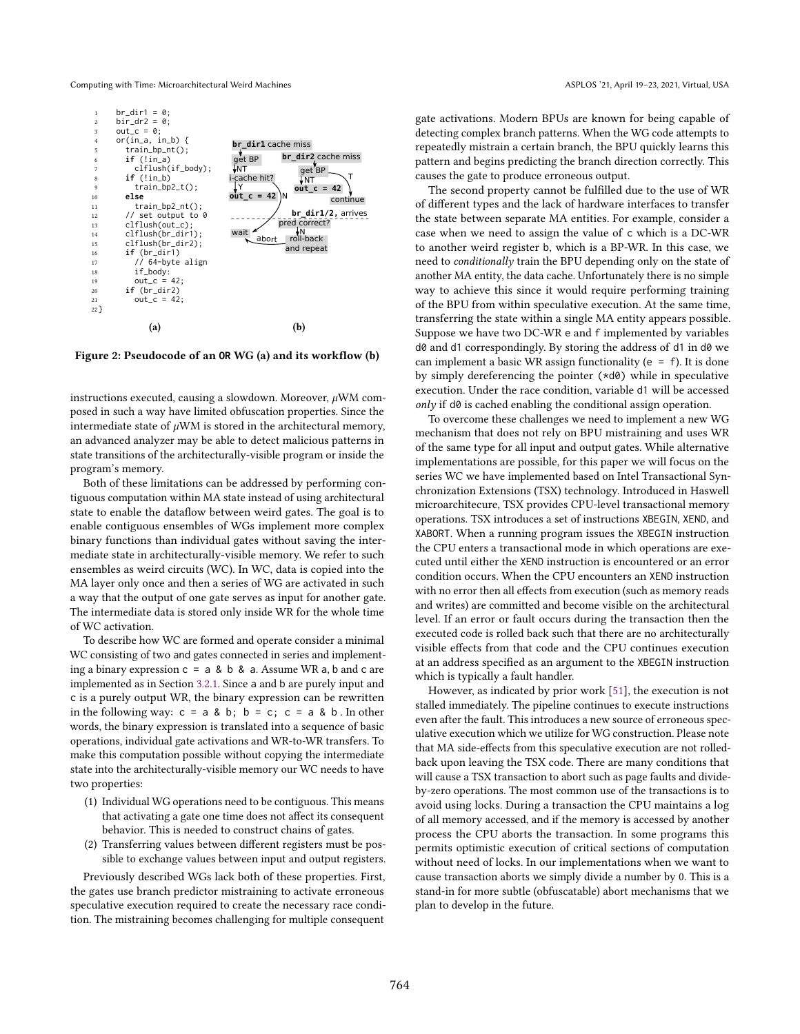<span id="page-6-0"></span>

Figure 2: Pseudocode of an **OR** WG (a) and its workflow (b)

instructions executed, causing a slowdown. Moreover,  $\mu$ WM composed in such a way have limited obfuscation properties. Since the intermediate state of  $\mu$ WM is stored in the architectural memory, an advanced analyzer may be able to detect malicious patterns in state transitions of the architecturally-visible program or inside the program's memory.

Both of these limitations can be addressed by performing contiguous computation within MA state instead of using architectural state to enable the dataflow between weird gates. The goal is to enable contiguous ensembles of WGs implement more complex binary functions than individual gates without saving the intermediate state in architecturally-visible memory. We refer to such ensembles as weird circuits (WC). In WC, data is copied into the MA layer only once and then a series of WG are activated in such a way that the output of one gate serves as input for another gate. The intermediate data is stored only inside WR for the whole time of WC activation.

To describe how WC are formed and operate consider a minimal WC consisting of two and gates connected in series and implementing a binary expression  $c = a \& b \& a$ . Assume WR a, b and c are implemented as in Section [3.2.1.](#page-4-2) Since a and b are purely input and c is a purely output WR, the binary expression can be rewritten in the following way:  $c = a & b$ ;  $b = c$ ;  $c = a & b$ . In other words, the binary expression is translated into a sequence of basic operations, individual gate activations and WR-to-WR transfers. To make this computation possible without copying the intermediate state into the architecturally-visible memory our WC needs to have two properties:

- (1) Individual WG operations need to be contiguous. This means that activating a gate one time does not affect its consequent behavior. This is needed to construct chains of gates.
- (2) Transferring values between different registers must be possible to exchange values between input and output registers.

Previously described WGs lack both of these properties. First, the gates use branch predictor mistraining to activate erroneous speculative execution required to create the necessary race condition. The mistraining becomes challenging for multiple consequent

gate activations. Modern BPUs are known for being capable of detecting complex branch patterns. When the WG code attempts to repeatedly mistrain a certain branch, the BPU quickly learns this pattern and begins predicting the branch direction correctly. This causes the gate to produce erroneous output.

The second property cannot be fulfilled due to the use of WR of different types and the lack of hardware interfaces to transfer the state between separate MA entities. For example, consider a case when we need to assign the value of c which is a DC-WR to another weird register b, which is a BP-WR. In this case, we need to conditionally train the BPU depending only on the state of another MA entity, the data cache. Unfortunately there is no simple way to achieve this since it would require performing training of the BPU from within speculative execution. At the same time, transferring the state within a single MA entity appears possible. Suppose we have two DC-WR e and f implemented by variables d0 and d1 correspondingly. By storing the address of d1 in d0 we can implement a basic WR assign functionality ( $e = f$ ). It is done by simply dereferencing the pointer (\*d0) while in speculative execution. Under the race condition, variable d1 will be accessed  $\langle only$  if d0 is cached enabling the conditional assign operation.

To overcome these challenges we need to implement a new WG mechanism that does not rely on BPU mistraining and uses WR of the same type for all input and output gates. While alternative implementations are possible, for this paper we will focus on the series WC we have implemented based on Intel Transactional Synchronization Extensions (TSX) technology. Introduced in Haswell microarchitecure, TSX provides CPU-level transactional memory operations. TSX introduces a set of instructions XBEGIN, XEND, and XABORT. When a running program issues the XBEGIN instruction the CPU enters a transactional mode in which operations are executed until either the XEND instruction is encountered or an error condition occurs. When the CPU encounters an XEND instruction with no error then all effects from execution (such as memory reads and writes) are committed and become visible on the architectural level. If an error or fault occurs during the transaction then the executed code is rolled back such that there are no architecturally visible effects from that code and the CPU continues execution at an address specified as an argument to the XBEGIN instruction which is typically a fault handler.

However, as indicated by prior work [\[51\]](#page-13-36), the execution is not stalled immediately. The pipeline continues to execute instructions even after the fault. This introduces a new source of erroneous speculative execution which we utilize for WG construction. Please note that MA side-effects from this speculative execution are not rolledback upon leaving the TSX code. There are many conditions that will cause a TSX transaction to abort such as page faults and divideby-zero operations. The most common use of the transactions is to avoid using locks. During a transaction the CPU maintains a log of all memory accessed, and if the memory is accessed by another process the CPU aborts the transaction. In some programs this permits optimistic execution of critical sections of computation without need of locks. In our implementations when we want to cause transaction aborts we simply divide a number by 0. This is a stand-in for more subtle (obfuscatable) abort mechanisms that we plan to develop in the future.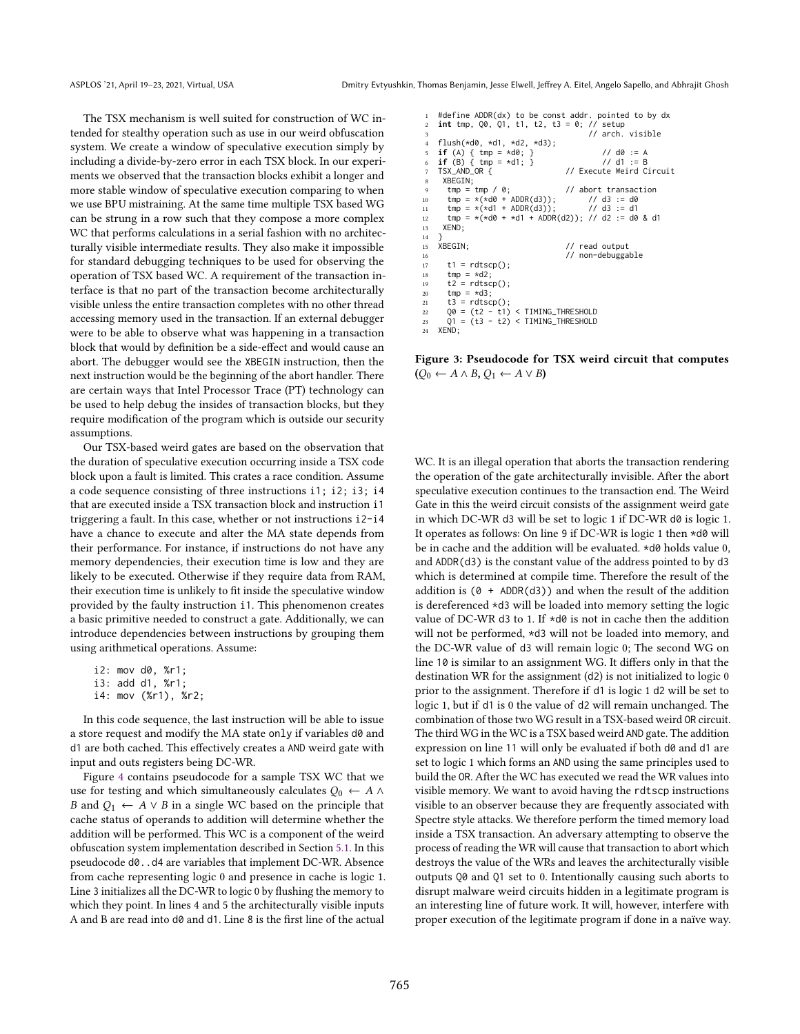The TSX mechanism is well suited for construction of WC intended for stealthy operation such as use in our weird obfuscation system. We create a window of speculative execution simply by including a divide-by-zero error in each TSX block. In our experiments we observed that the transaction blocks exhibit a longer and more stable window of speculative execution comparing to when we use BPU mistraining. At the same time multiple TSX based WG can be strung in a row such that they compose a more complex WC that performs calculations in a serial fashion with no architecturally visible intermediate results. They also make it impossible for standard debugging techniques to be used for observing the operation of TSX based WC. A requirement of the transaction interface is that no part of the transaction become architecturally visible unless the entire transaction completes with no other thread accessing memory used in the transaction. If an external debugger were to be able to observe what was happening in a transaction block that would by definition be a side-effect and would cause an abort. The debugger would see the XBEGIN instruction, then the next instruction would be the beginning of the abort handler. There are certain ways that Intel Processor Trace (PT) technology can be used to help debug the insides of transaction blocks, but they require modification of the program which is outside our security assumptions.

Our TSX-based weird gates are based on the observation that the duration of speculative execution occurring inside a TSX code block upon a fault is limited. This crates a race condition. Assume a code sequence consisting of three instructions i1; i2; i3; i4 that are executed inside a TSX transaction block and instruction i1 triggering a fault. In this case, whether or not instructions i2-i4 have a chance to execute and alter the MA state depends from their performance. For instance, if instructions do not have any memory dependencies, their execution time is low and they are likely to be executed. Otherwise if they require data from RAM, their execution time is unlikely to fit inside the speculative window provided by the faulty instruction i1. This phenomenon creates a basic primitive needed to construct a gate. Additionally, we can introduce dependencies between instructions by grouping them using arithmetical operations. Assume:

i2: mov d0, %r1; i3: add d1, %r1;

i4: mov (%r1), %r2;

In this code sequence, the last instruction will be able to issue a store request and modify the MA state only if variables d0 and d1 are both cached. This effectively creates a AND weird gate with input and outs registers being DC-WR.

Figure [4](#page-7-0) contains pseudocode for a sample TSX WC that we use for testing and which simultaneously calculates  $Q_0 \leftarrow A \wedge$ B and  $Q_1 \leftarrow A \vee B$  in a single WC based on the principle that cache status of operands to addition will determine whether the addition will be performed. This WC is a component of the weird obfuscation system implementation described in Section [5.1.](#page-8-0) In this pseudocode d0..d4 are variables that implement DC-WR. Absence from cache representing logic 0 and presence in cache is logic 1. Line 3 initializes all the DC-WR to logic 0 by flushing the memory to which they point. In lines 4 and 5 the architecturally visible inputs A and B are read into d0 and d1. Line 8 is the first line of the actual

```
1 #define ADDR(dx) to be const addr. pointed to by dx
    int tmp, Q\theta, Q1, t1, t2, t3 = \theta; // setup
                                              // arch. visible
    flush(*d0, *d1, *d2, *d3);5 if (A) { tmp = *d0; } // d0 := A
6 if (B) { tmp = *d1; } // d1 := B
    7 TSX_AND_OR { // Execute Weird Circuit
     XBEGIN;<br>tmp = tmp / 0;abort transaction<br>
// d3 := d0<br>
// d3 := d1
10 \text{tmp} = *(*d0 + ADDR(d3));<br>11 \text{tmp} = *(*d1 + ADDR(d3));tmp = *(*d1 + ADDR(d3));12 tmp = x(xd0 + xd1 + ADDR(d2)); // d2 := d0 & d1<br>13 XEND:XEND:14 }<br>15 XBEGIN;
15 XBEGIN; // read output
16 // non-debuggable
17 t1 = rdtscp();
18 tmp = *d2;<br>
19 t2 = rdtsc19 t2 = rdtscp();<br>20 tmp = *d3:
20 tmp = *d3;<br>
21 \t3 = rdtsct3 = \text{rdtscp}()22 Q0 = (t2 - t1) < TIMING_THRESHOLD
23 Q1 = (t3 - t2) < TIMING_THRESHOLD
```
 $XEND$ ;

Figure 3: Pseudocode for TSX weird circuit that computes  $(Q_0 \leftarrow A \land B, Q_1 \leftarrow A \lor B)$ 

WC. It is an illegal operation that aborts the transaction rendering the operation of the gate architecturally invisible. After the abort speculative execution continues to the transaction end. The Weird Gate in this the weird circuit consists of the assignment weird gate in which DC-WR d3 will be set to logic 1 if DC-WR d0 is logic 1. It operates as follows: On line 9 if DC-WR is logic 1 then \*d0 will be in cache and the addition will be evaluated. \*d0 holds value 0, and ADDR(d3) is the constant value of the address pointed to by d3 which is determined at compile time. Therefore the result of the addition is  $(0 + ADDR(d3))$  and when the result of the addition is dereferenced \*d3 will be loaded into memory setting the logic value of DC-WR d3 to 1. If \*d0 is not in cache then the addition will not be performed, \*d3 will not be loaded into memory, and the DC-WR value of d3 will remain logic 0; The second WG on line 10 is similar to an assignment WG. It differs only in that the destination WR for the assignment (d2) is not initialized to logic 0 prior to the assignment. Therefore if d1 is logic 1 d2 will be set to logic 1, but if d1 is 0 the value of d2 will remain unchanged. The combination of those two WG result in a TSX-based weird OR circuit. The third WG in the WC is a TSX based weird AND gate. The addition expression on line 11 will only be evaluated if both d0 and d1 are set to logic 1 which forms an AND using the same principles used to build the OR. After the WC has executed we read the WR values into visible memory. We want to avoid having the rdtscp instructions visible to an observer because they are frequently associated with Spectre style attacks. We therefore perform the timed memory load inside a TSX transaction. An adversary attempting to observe the process of reading the WR will cause that transaction to abort which destroys the value of the WRs and leaves the architecturally visible outputs Q0 and Q1 set to 0. Intentionally causing such aborts to disrupt malware weird circuits hidden in a legitimate program is an interesting line of future work. It will, however, interfere with proper execution of the legitimate program if done in a naïve way.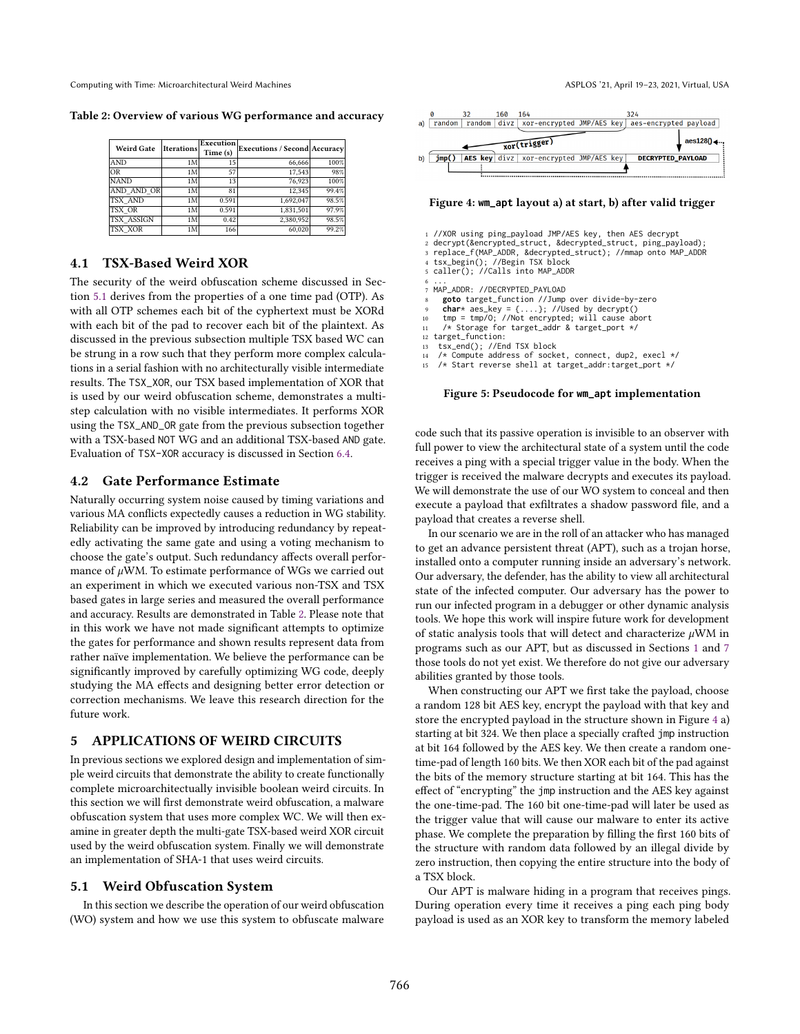<span id="page-8-1"></span>Table 2: Overview of various WG performance and accuracy

| <b>Weird Gate</b> | Iterations | Execution<br>Time (s) | <b>Executions / Second Accuracy</b> |       |
|-------------------|------------|-----------------------|-------------------------------------|-------|
| <b>AND</b>        | 1M         | 15                    | 66,666                              | 100%  |
| <b>OR</b>         | 1M         | 57                    | 17,543                              | 98%   |
| <b>NAND</b>       | 1M         | 13                    | 76,923                              | 100%  |
| AND AND OR        | 1M         | 81                    | 12.345                              | 99.4% |
| <b>TSX AND</b>    | 1M         | 0.591                 | 1.692.047                           | 98.5% |
| TSX OR            | 1M         | 0.591                 | 1,831,501                           | 97.9% |
| <b>TSX ASSIGN</b> | 1M         | 0.42                  | 2,380,952                           | 98.5% |
| <b>TSX XOR</b>    | 1M         | 166                   | 60,020                              | 99.2% |

### <span id="page-8-4"></span>4.1 TSX-Based Weird XOR

The security of the weird obfuscation scheme discussed in Section [5.1](#page-8-0) derives from the properties of a one time pad (OTP). As with all OTP schemes each bit of the cyphertext must be XORd with each bit of the pad to recover each bit of the plaintext. As discussed in the previous subsection multiple TSX based WC can be strung in a row such that they perform more complex calculations in a serial fashion with no architecturally visible intermediate results. The TSX\_XOR, our TSX based implementation of XOR that is used by our weird obfuscation scheme, demonstrates a multistep calculation with no visible intermediates. It performs XOR using the TSX\_AND\_OR gate from the previous subsection together with a TSX-based NOT WG and an additional TSX-based AND gate. Evaluation of TSX-XOR accuracy is discussed in Section [6.4.](#page-11-0)

#### 4.2 Gate Performance Estimate

Naturally occurring system noise caused by timing variations and various MA conflicts expectedly causes a reduction in WG stability. Reliability can be improved by introducing redundancy by repeatedly activating the same gate and using a voting mechanism to choose the gate's output. Such redundancy affects overall performance of  $\mu$ WM. To estimate performance of WGs we carried out an experiment in which we executed various non-TSX and TSX based gates in large series and measured the overall performance and accuracy. Results are demonstrated in Table [2.](#page-8-1) Please note that in this work we have not made significant attempts to optimize the gates for performance and shown results represent data from rather naïve implementation. We believe the performance can be significantly improved by carefully optimizing WG code, deeply studying the MA effects and designing better error detection or correction mechanisms. We leave this research direction for the future work.

### 5 APPLICATIONS OF WEIRD CIRCUITS

In previous sections we explored design and implementation of simple weird circuits that demonstrate the ability to create functionally complete microarchitectually invisible boolean weird circuits. In this section we will first demonstrate weird obfuscation, a malware obfuscation system that uses more complex WC. We will then examine in greater depth the multi-gate TSX-based weird XOR circuit used by the weird obfuscation system. Finally we will demonstrate an implementation of SHA-1 that uses weird circuits.

#### <span id="page-8-0"></span>5.1 Weird Obfuscation System

In this section we describe the operation of our weird obfuscation (WO) system and how we use this system to obfuscate malware

<span id="page-8-2"></span>

#### Figure 4: **wm\_apt** layout a) at start, b) after valid trigger

- 
- <span id="page-8-3"></span>1 //XOR using ping\_payload JMP/AES key, then AES decrypt 2 decrypt(&encrypted\_struct, &decrypted\_struct, ping\_payload); 3 replace\_f(MAP\_ADDR, &decrypted\_struct); //mmap onto MAP\_ADDR
- 
- tsx\_begin(); //Begin TSX block caller(); //Calls into MAP\_ADDR
- 
- 6 ... 7 MAP\_ADDR: //DECRYPTED\_PAYLOAD
- 
- 8 **goto** target\_function //Jump over divide-by-zero<br>
9 **char**\* aes\_key = {....}; //Used by decrypt()<br>
10 tmp = tmp/O; //Not encrypted; will cause abort<br>
11 /\* Storage for target\_addr & target\_port \*/
- 
- 
- 12 target\_function:
- 
- 13 tsx\_end(); //End TSX block 14 /\* Compute address of socket, connect, dup2, execl \*/
- 15 /\* Start reverse shell at target\_addr:target\_port \*/

#### Figure 5: Pseudocode for **wm\_apt** implementation

code such that its passive operation is invisible to an observer with full power to view the architectural state of a system until the code receives a ping with a special trigger value in the body. When the trigger is received the malware decrypts and executes its payload. We will demonstrate the use of our WO system to conceal and then execute a payload that exfiltrates a shadow password file, and a payload that creates a reverse shell.

In our scenario we are in the roll of an attacker who has managed to get an advance persistent threat (APT), such as a trojan horse, installed onto a computer running inside an adversary's network. Our adversary, the defender, has the ability to view all architectural state of the infected computer. Our adversary has the power to run our infected program in a debugger or other dynamic analysis tools. We hope this work will inspire future work for development of static analysis tools that will detect and characterize  $\mu$ WM in programs such as our APT, but as discussed in Sections [1](#page-0-0) and [7](#page-11-1) those tools do not yet exist. We therefore do not give our adversary abilities granted by those tools.

When constructing our APT we first take the payload, choose a random 128 bit AES key, encrypt the payload with that key and store the encrypted payload in the structure shown in Figure [4](#page-8-2) a) starting at bit 324. We then place a specially crafted jmp instruction at bit 164 followed by the AES key. We then create a random onetime-pad of length 160 bits. We then XOR each bit of the pad against the bits of the memory structure starting at bit 164. This has the effect of "encrypting" the jmp instruction and the AES key against the one-time-pad. The 160 bit one-time-pad will later be used as the trigger value that will cause our malware to enter its active phase. We complete the preparation by filling the first 160 bits of the structure with random data followed by an illegal divide by zero instruction, then copying the entire structure into the body of a TSX block.

Our APT is malware hiding in a program that receives pings. During operation every time it receives a ping each ping body payload is used as an XOR key to transform the memory labeled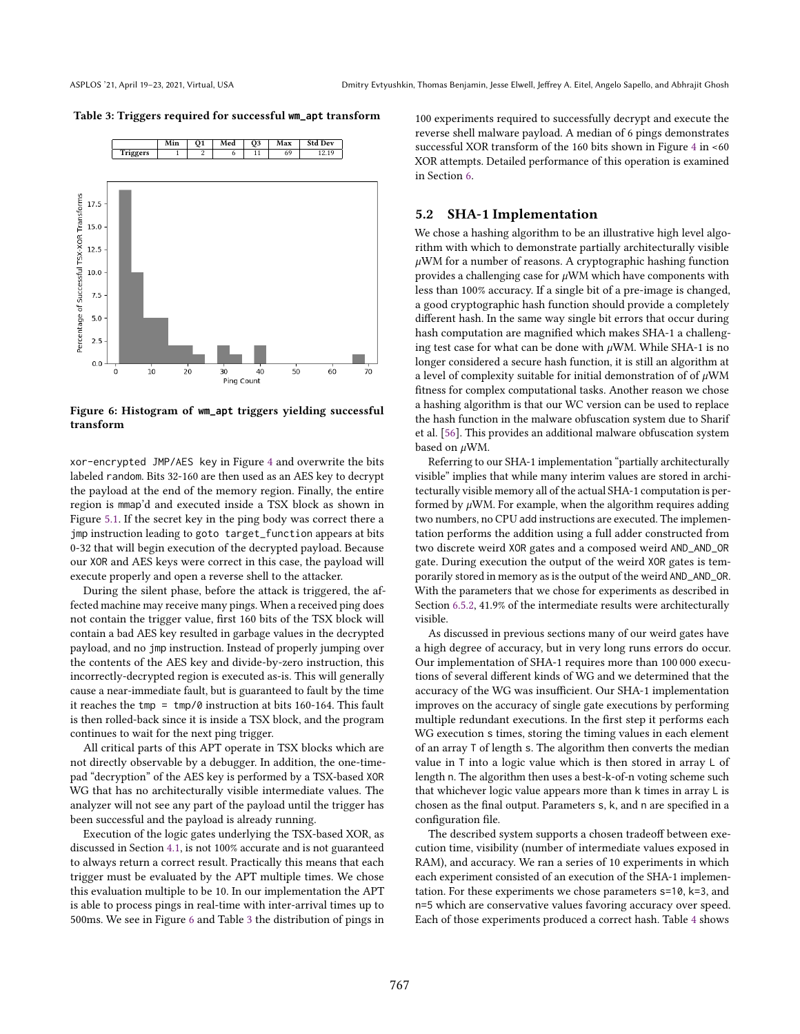#### <span id="page-9-1"></span>Table 3: Triggers required for successful **wm\_apt** transform

<span id="page-9-0"></span>

Figure 6: Histogram of **wm\_apt** triggers yielding successful transform

xor-encrypted JMP/AES key in Figure [4](#page-8-2) and overwrite the bits labeled random. Bits 32-160 are then used as an AES key to decrypt the payload at the end of the memory region. Finally, the entire region is mmap'd and executed inside a TSX block as shown in Figure [5.1.](#page-8-3) If the secret key in the ping body was correct there a jmp instruction leading to goto target\_function appears at bits 0-32 that will begin execution of the decrypted payload. Because our XOR and AES keys were correct in this case, the payload will execute properly and open a reverse shell to the attacker.

During the silent phase, before the attack is triggered, the affected machine may receive many pings. When a received ping does not contain the trigger value, first 160 bits of the TSX block will contain a bad AES key resulted in garbage values in the decrypted payload, and no jmp instruction. Instead of properly jumping over the contents of the AES key and divide-by-zero instruction, this incorrectly-decrypted region is executed as-is. This will generally cause a near-immediate fault, but is guaranteed to fault by the time it reaches the tmp =  $tmp/0$  instruction at bits 160-164. This fault is then rolled-back since it is inside a TSX block, and the program continues to wait for the next ping trigger.

All critical parts of this APT operate in TSX blocks which are not directly observable by a debugger. In addition, the one-timepad "decryption" of the AES key is performed by a TSX-based XOR WG that has no architecturally visible intermediate values. The analyzer will not see any part of the payload until the trigger has been successful and the payload is already running.

Execution of the logic gates underlying the TSX-based XOR, as discussed in Section [4.1,](#page-8-4) is not 100% accurate and is not guaranteed to always return a correct result. Practically this means that each trigger must be evaluated by the APT multiple times. We chose this evaluation multiple to be 10. In our implementation the APT is able to process pings in real-time with inter-arrival times up to 500ms. We see in Figure [6](#page-9-0) and Table [3](#page-9-1) the distribution of pings in 100 experiments required to successfully decrypt and execute the reverse shell malware payload. A median of 6 pings demonstrates successful XOR transform of the 160 bits shown in Figure [4](#page-8-2) in <60 XOR attempts. Detailed performance of this operation is examined in Section [6.](#page-10-0)

### <span id="page-9-2"></span>5.2 SHA-1 Implementation

We chose a hashing algorithm to be an illustrative high level algorithm with which to demonstrate partially architecturally visible  $\mu$ WM for a number of reasons. A cryptographic hashing function provides a challenging case for  $\mu$ WM which have components with less than 100% accuracy. If a single bit of a pre-image is changed, a good cryptographic hash function should provide a completely different hash. In the same way single bit errors that occur during hash computation are magnified which makes SHA-1 a challenging test case for what can be done with  $\mu$ WM. While SHA-1 is no longer considered a secure hash function, it is still an algorithm at a level of complexity suitable for initial demonstration of of uWM fitness for complex computational tasks. Another reason we chose a hashing algorithm is that our WC version can be used to replace the hash function in the malware obfuscation system due to Sharif et al. [\[56\]](#page-13-18). This provides an additional malware obfuscation system based on WM.

Referring to our SHA-1 implementation "partially architecturally visible" implies that while many interim values are stored in architecturally visible memory all of the actual SHA-1 computation is performed by  $\mu$ WM. For example, when the algorithm requires adding two numbers, no CPU add instructions are executed. The implementation performs the addition using a full adder constructed from two discrete weird XOR gates and a composed weird AND\_AND\_OR gate. During execution the output of the weird XOR gates is temporarily stored in memory as is the output of the weird AND\_AND\_OR. With the parameters that we chose for experiments as described in Section [6.5.2,](#page-11-2) 41.9% of the intermediate results were architecturally visible.

As discussed in previous sections many of our weird gates have a high degree of accuracy, but in very long runs errors do occur. Our implementation of SHA-1 requires more than 100 000 executions of several different kinds of WG and we determined that the accuracy of the WG was insufficient. Our SHA-1 implementation improves on the accuracy of single gate executions by performing multiple redundant executions. In the first step it performs each WG execution s times, storing the timing values in each element of an array T of length s. The algorithm then converts the median value in T into a logic value which is then stored in array L of length n. The algorithm then uses a best-k-of-n voting scheme such that whichever logic value appears more than k times in array L is chosen as the final output. Parameters s, k, and n are specified in a configuration file.

The described system supports a chosen tradeoff between execution time, visibility (number of intermediate values exposed in RAM), and accuracy. We ran a series of 10 experiments in which each experiment consisted of an execution of the SHA-1 implementation. For these experiments we chose parameters s=10, k=3, and n=5 which are conservative values favoring accuracy over speed. Each of those experiments produced a correct hash. Table [4](#page-10-1) shows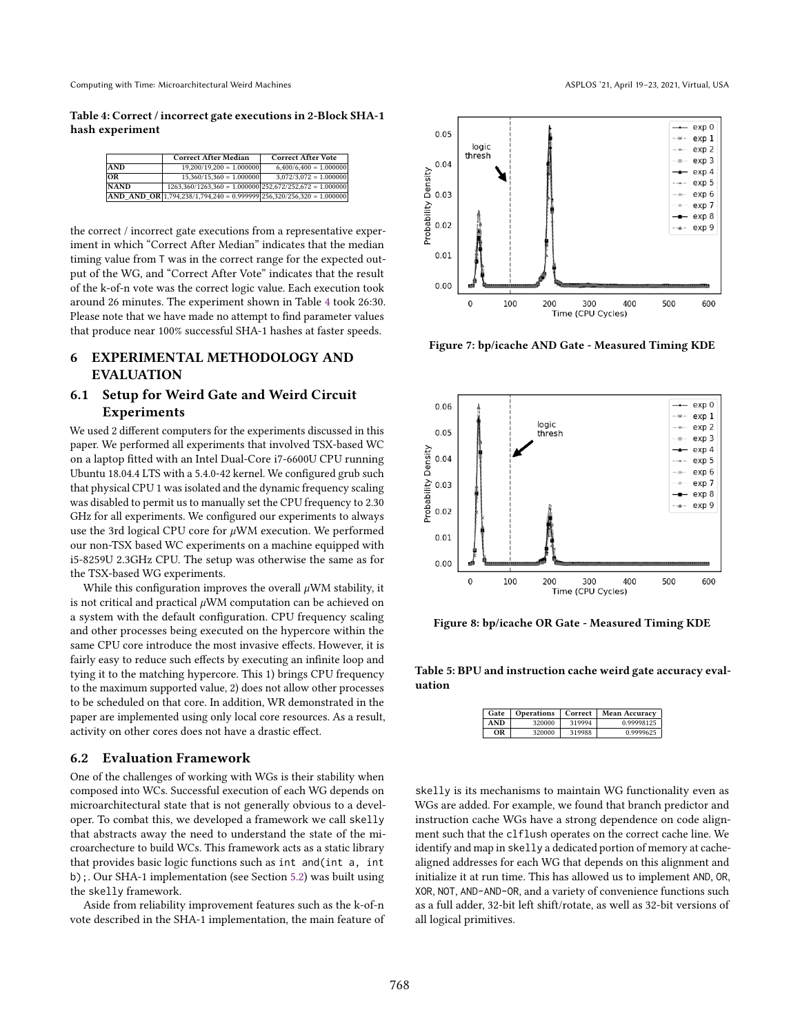<span id="page-10-1"></span>Table 4: Correct / incorrect gate executions in 2-Block SHA-1 hash experiment

|             | <b>Correct After Median</b>                                          | <b>Correct After Vote</b> |
|-------------|----------------------------------------------------------------------|---------------------------|
| <b>AND</b>  | $19,200/19,200 = 1,000000$                                           | $6,400/6,400 = 1,000000$  |
| <b>OR</b>   | $15.360/15.360 = 1.000000$                                           | $3.072/3.072 = 1.000000$  |
| <b>NAND</b> | $1263,360/1263,360 = 1.000000 \mid 252,672/252,672 = 1.000000$       |                           |
|             | AND AND OR 1,794,238/1,794,240 = 0.999999 256,320/256,320 = 1.000000 |                           |

the correct / incorrect gate executions from a representative experiment in which "Correct After Median" indicates that the median timing value from T was in the correct range for the expected output of the WG, and "Correct After Vote" indicates that the result of the k-of-n vote was the correct logic value. Each execution took around 26 minutes. The experiment shown in Table [4](#page-10-1) took 26:30. Please note that we have made no attempt to find parameter values that produce near 100% successful SHA-1 hashes at faster speeds.

### <span id="page-10-0"></span>6 EXPERIMENTAL METHODOLOGY AND EVALUATION

### <span id="page-10-2"></span>6.1 Setup for Weird Gate and Weird Circuit Experiments

We used 2 different computers for the experiments discussed in this paper. We performed all experiments that involved TSX-based WC on a laptop fitted with an Intel Dual-Core i7-6600U CPU running Ubuntu 18.04.4 LTS with a 5.4.0-42 kernel. We configured grub such that physical CPU 1 was isolated and the dynamic frequency scaling was disabled to permit us to manually set the CPU frequency to 2.30 GHz for all experiments. We configured our experiments to always use the 3rd logical CPU core for  $\mu$ WM execution. We performed our non-TSX based WC experiments on a machine equipped with i5-8259U 2.3GHz CPU. The setup was otherwise the same as for the TSX-based WG experiments.

While this configuration improves the overall  $\mu$ WM stability, it is not critical and practical  $\mu$ WM computation can be achieved on a system with the default configuration. CPU frequency scaling and other processes being executed on the hypercore within the same CPU core introduce the most invasive effects. However, it is fairly easy to reduce such effects by executing an infinite loop and tying it to the matching hypercore. This 1) brings CPU frequency to the maximum supported value, 2) does not allow other processes to be scheduled on that core. In addition, WR demonstrated in the paper are implemented using only local core resources. As a result, activity on other cores does not have a drastic effect.

#### 6.2 Evaluation Framework

One of the challenges of working with WGs is their stability when composed into WCs. Successful execution of each WG depends on microarchitectural state that is not generally obvious to a developer. To combat this, we developed a framework we call skelly that abstracts away the need to understand the state of the microarchecture to build WCs. This framework acts as a static library that provides basic logic functions such as int and(int a, int b);. Our SHA-1 implementation (see Section [5.2\)](#page-9-2) was built using the skelly framework.

Aside from reliability improvement features such as the k-of-n vote described in the SHA-1 implementation, the main feature of

<span id="page-10-4"></span>

Figure 7: bp/icache AND Gate - Measured Timing KDE

<span id="page-10-5"></span>

Figure 8: bp/icache OR Gate - Measured Timing KDE

<span id="page-10-3"></span>Table 5: BPU and instruction cache weird gate accuracy evaluation

| Gate | <b>Operations</b> | Correct | Mean Accuracv |
|------|-------------------|---------|---------------|
| AND  | 320000            | 319994  | 0.99998125    |
| ΩR   | 320000            | 319988  | 0.9999625     |

skelly is its mechanisms to maintain WG functionality even as WGs are added. For example, we found that branch predictor and instruction cache WGs have a strong dependence on code alignment such that the clflush operates on the correct cache line. We identify and map in skelly a dedicated portion of memory at cachealigned addresses for each WG that depends on this alignment and initialize it at run time. This has allowed us to implement AND, OR, XOR, NOT, AND-AND-OR, and a variety of convenience functions such as a full adder, 32-bit left shift/rotate, as well as 32-bit versions of all logical primitives.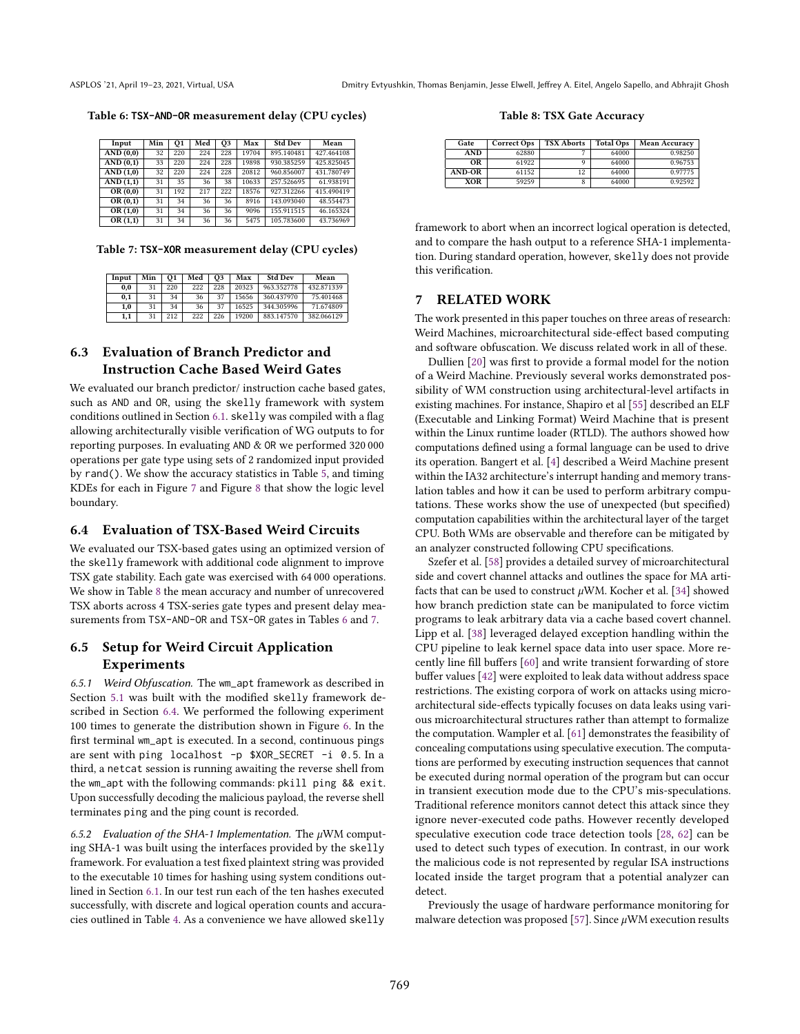<span id="page-11-4"></span>Table 6: **TSX-AND-OR** measurement delay (CPU cycles)

| Input                     | Min | 01  | Med | <b>O3</b> | Max   | <b>Std Dev</b> | Mean       |
|---------------------------|-----|-----|-----|-----------|-------|----------------|------------|
| AND (0,0)                 | 32  | 220 | 224 | 228       | 19704 | 895.140481     | 427.464108 |
| AND(0,1)                  | 33  | 220 | 224 | 228       | 19898 | 930.385259     | 425.825045 |
| AND(1,0)                  | 32  | 220 | 224 | 228       | 20812 | 960.856007     | 431.780749 |
| AND (1,1)                 | 31  | 35  | 36  | 38        | 10633 | 257.526695     | 61.938191  |
| OR $(0,0)$                | 31  | 192 | 217 | 222       | 18576 | 927.312266     | 415.490419 |
| $\overline{\rm OR}$ (0,1) | 31  | 34  | 36  | 36        | 8916  | 143.093040     | 48.554473  |
| OR(1,0)                   | 31  | 34  | 36  | 36        | 9096  | 155.911515     | 46.165324  |
| OR(1,1)                   | 31  | 34  | 36  | 36        | 5475  | 105.783600     | 43.736969  |

<span id="page-11-5"></span>Table 7: **TSX-XOR** measurement delay (CPU cycles)

| Input | Min | 01  | Med | О3  | Max   | <b>Std Dev</b> | Mean       |
|-------|-----|-----|-----|-----|-------|----------------|------------|
| 0.0   | 31  | 220 | 222 | 228 | 20323 | 963.352778     | 432.871339 |
| 0.1   | 31  | 34  | 36  | 37  | 15656 | 360.437970     | 75.401468  |
| 1.0   | 31  | 34  | 36  | 37  | 16525 | 344.305996     | 71.674809  |
| 1,1   | 31  | 212 | 222 | 226 | 19200 | 883.147570     | 382.066129 |

### 6.3 Evaluation of Branch Predictor and Instruction Cache Based Weird Gates

We evaluated our branch predictor/ instruction cache based gates, such as AND and OR, using the skelly framework with system conditions outlined in Section [6.1.](#page-10-2) skelly was compiled with a flag allowing architecturally visible verification of WG outputs to for reporting purposes. In evaluating AND & OR we performed 320 000 operations per gate type using sets of 2 randomized input provided by rand(). We show the accuracy statistics in Table [5,](#page-10-3) and timing KDEs for each in Figure [7](#page-10-4) and Figure [8](#page-10-5) that show the logic level boundary.

#### <span id="page-11-0"></span>6.4 Evaluation of TSX-Based Weird Circuits

We evaluated our TSX-based gates using an optimized version of the skelly framework with additional code alignment to improve TSX gate stability. Each gate was exercised with 64 000 operations. We show in Table [8](#page-11-3) the mean accuracy and number of unrecovered TSX aborts across 4 TSX-series gate types and present delay measurements from TSX-AND-OR and TSX-OR gates in Tables [6](#page-11-4) and [7.](#page-11-5)

### 6.5 Setup for Weird Circuit Application Experiments

6.5.1 Weird Obfuscation. The wm\_apt framework as described in Section [5.1](#page-8-0) was built with the modified skelly framework described in Section [6.4.](#page-11-0) We performed the following experiment 100 times to generate the distribution shown in Figure [6.](#page-9-0) In the first terminal wm\_apt is executed. In a second, continuous pings are sent with ping localhost -p \$XOR\_SECRET -i 0.5. In a third, a netcat session is running awaiting the reverse shell from the wm\_apt with the following commands: pkill ping && exit. Upon successfully decoding the malicious payload, the reverse shell terminates ping and the ping count is recorded.

<span id="page-11-2"></span>6.5.2 Evaluation of the SHA-1 Implementation. The  $\mu$ WM computing SHA-1 was built using the interfaces provided by the skelly framework. For evaluation a test fixed plaintext string was provided to the executable 10 times for hashing using system conditions outlined in Section [6.1.](#page-10-2) In our test run each of the ten hashes executed successfully, with discrete and logical operation counts and accuracies outlined in Table [4.](#page-10-1) As a convenience we have allowed skelly

Table 8: TSX Gate Accuracy

<span id="page-11-3"></span>

| Gate          | Correct Ops | <b>TSX Aborts</b> | <b>Total Ops</b> | Mean Accuracy |
|---------------|-------------|-------------------|------------------|---------------|
| AND           | 62880       |                   | 64000            | 0.98250       |
| OR            | 61922       |                   | 64000            | 0.96753       |
| <b>AND-OR</b> | 61152       | 12                | 64000            | 0.97775       |
| XOR           | 59259       |                   | 64000            | 0.92592       |

framework to abort when an incorrect logical operation is detected, and to compare the hash output to a reference SHA-1 implementation. During standard operation, however, skelly does not provide this verification.

### <span id="page-11-1"></span>7 RELATED WORK

The work presented in this paper touches on three areas of research: Weird Machines, microarchitectural side-effect based computing and software obfuscation. We discuss related work in all of these.

Dullien [\[20\]](#page-13-20) was first to provide a formal model for the notion of a Weird Machine. Previously several works demonstrated possibility of WM construction using architectural-level artifacts in existing machines. For instance, Shapiro et al [\[55\]](#page-13-22) described an ELF (Executable and Linking Format) Weird Machine that is present within the Linux runtime loader (RTLD). The authors showed how computations defined using a formal language can be used to drive its operation. Bangert et al. [\[4\]](#page-12-12) described a Weird Machine present within the IA32 architecture's interrupt handing and memory translation tables and how it can be used to perform arbitrary computations. These works show the use of unexpected (but specified) computation capabilities within the architectural layer of the target CPU. Both WMs are observable and therefore can be mitigated by an analyzer constructed following CPU specifications.

Szefer et al. [\[58\]](#page-13-37) provides a detailed survey of microarchitectural side and covert channel attacks and outlines the space for MA artifacts that can be used to construct  $\mu$ WM. Kocher et al. [\[34\]](#page-13-35) showed how branch prediction state can be manipulated to force victim programs to leak arbitrary data via a cache based covert channel. Lipp et al. [\[38\]](#page-13-38) leveraged delayed exception handling within the CPU pipeline to leak kernel space data into user space. More recently line fill buffers [\[60\]](#page-13-39) and write transient forwarding of store buffer values [\[42\]](#page-13-40) were exploited to leak data without address space restrictions. The existing corpora of work on attacks using microarchitectural side-effects typically focuses on data leaks using various microarchitectural structures rather than attempt to formalize the computation. Wampler et al. [\[61\]](#page-13-41) demonstrates the feasibility of concealing computations using speculative execution. The computations are performed by executing instruction sequences that cannot be executed during normal operation of the program but can occur in transient execution mode due to the CPU's mis-speculations. Traditional reference monitors cannot detect this attack since they ignore never-executed code paths. However recently developed speculative execution code trace detection tools [\[28,](#page-13-42) [62\]](#page-13-43) can be used to detect such types of execution. In contrast, in our work the malicious code is not represented by regular ISA instructions located inside the target program that a potential analyzer can detect.

Previously the usage of hardware performance monitoring for malware detection was proposed [\[57\]](#page-13-44). Since  $\mu$ WM execution results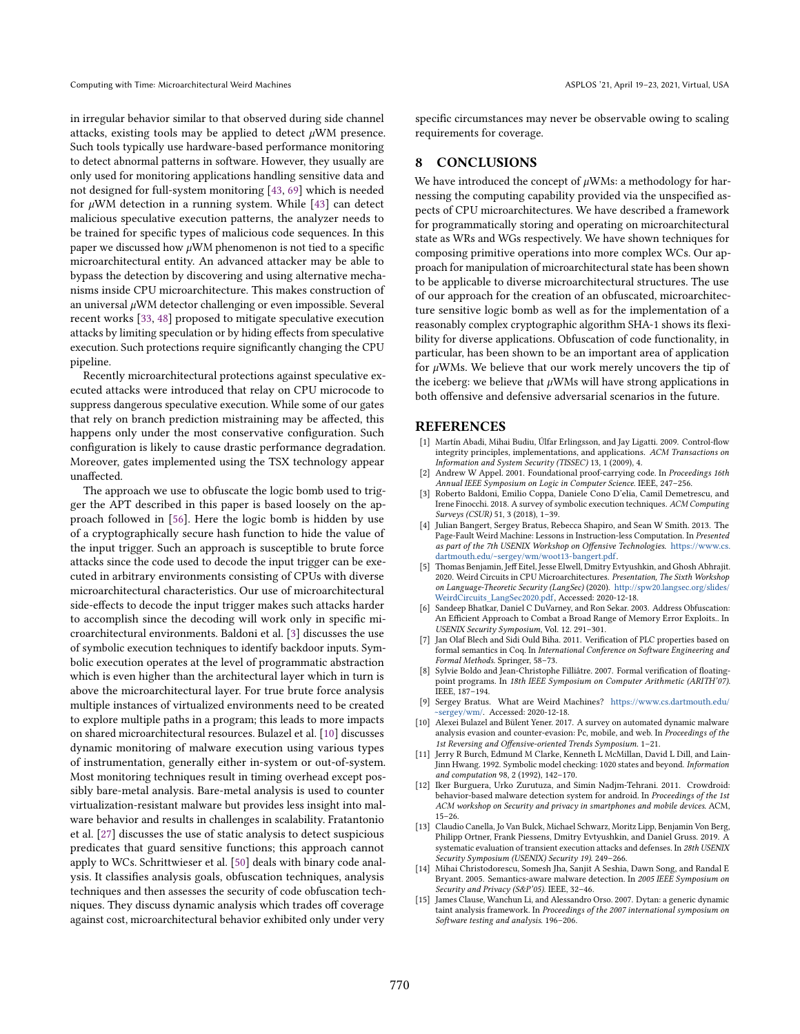in irregular behavior similar to that observed during side channel attacks, existing tools may be applied to detect  $\mu$ WM presence. Such tools typically use hardware-based performance monitoring to detect abnormal patterns in software. However, they usually are only used for monitoring applications handling sensitive data and not designed for full-system monitoring [\[43,](#page-13-45) [69\]](#page-14-6) which is needed for  $\mu$ WM detection in a running system. While [\[43\]](#page-13-45) can detect malicious speculative execution patterns, the analyzer needs to be trained for specific types of malicious code sequences. In this paper we discussed how  $\mu$ WM phenomenon is not tied to a specific microarchitectural entity. An advanced attacker may be able to bypass the detection by discovering and using alternative mechanisms inside CPU microarchitecture. This makes construction of an universal  $\mu$ WM detector challenging or even impossible. Several recent works [\[33,](#page-13-46) [48\]](#page-13-47) proposed to mitigate speculative execution attacks by limiting speculation or by hiding effects from speculative execution. Such protections require significantly changing the CPU pipeline.

Recently microarchitectural protections against speculative executed attacks were introduced that relay on CPU microcode to suppress dangerous speculative execution. While some of our gates that rely on branch prediction mistraining may be affected, this happens only under the most conservative configuration. Such configuration is likely to cause drastic performance degradation. Moreover, gates implemented using the TSX technology appear unaffected.

The approach we use to obfuscate the logic bomb used to trigger the APT described in this paper is based loosely on the approach followed in [\[56\]](#page-13-18). Here the logic bomb is hidden by use of a cryptographically secure hash function to hide the value of the input trigger. Such an approach is susceptible to brute force attacks since the code used to decode the input trigger can be executed in arbitrary environments consisting of CPUs with diverse microarchitectural characteristics. Our use of microarchitectural side-effects to decode the input trigger makes such attacks harder to accomplish since the decoding will work only in specific microarchitectural environments. Baldoni et al. [\[3\]](#page-12-8) discusses the use of symbolic execution techniques to identify backdoor inputs. Symbolic execution operates at the level of programmatic abstraction which is even higher than the architectural layer which in turn is above the microarchitectural layer. For true brute force analysis multiple instances of virtualized environments need to be created to explore multiple paths in a program; this leads to more impacts on shared microarchitectural resources. Bulazel et al. [\[10\]](#page-12-14) discusses dynamic monitoring of malware execution using various types of instrumentation, generally either in-system or out-of-system. Most monitoring techniques result in timing overhead except possibly bare-metal analysis. Bare-metal analysis is used to counter virtualization-resistant malware but provides less insight into malware behavior and results in challenges in scalability. Fratantonio et al. [\[27\]](#page-13-26) discusses the use of static analysis to detect suspicious predicates that guard sensitive functions; this approach cannot apply to WCs. Schrittwieser et al. [\[50\]](#page-13-17) deals with binary code analysis. It classifies analysis goals, obfuscation techniques, analysis techniques and then assesses the security of code obfuscation techniques. They discuss dynamic analysis which trades off coverage against cost, microarchitectural behavior exhibited only under very

specific circumstances may never be observable owing to scaling requirements for coverage.

### 8 CONCLUSIONS

We have introduced the concept of  $\mu$ WMs: a methodology for harnessing the computing capability provided via the unspecified aspects of CPU microarchitectures. We have described a framework for programmatically storing and operating on microarchitectural state as WRs and WGs respectively. We have shown techniques for composing primitive operations into more complex WCs. Our approach for manipulation of microarchitectural state has been shown to be applicable to diverse microarchitectural structures. The use of our approach for the creation of an obfuscated, microarchitecture sensitive logic bomb as well as for the implementation of a reasonably complex cryptographic algorithm SHA-1 shows its flexibility for diverse applications. Obfuscation of code functionality, in particular, has been shown to be an important area of application for  $\mu$ WMs. We believe that our work merely uncovers the tip of the iceberg: we believe that  $\mu$ WMs will have strong applications in both offensive and defensive adversarial scenarios in the future.

#### **REFERENCES**

- <span id="page-12-5"></span>[1] Martín Abadi, Mihai Budiu, Úlfar Erlingsson, and Jay Ligatti. 2009. Control-flow integrity principles, implementations, and applications. ACM Transactions on Information and System Security (TISSEC) 13, 1 (2009), 4.
- <span id="page-12-0"></span>[2] Andrew W Appel. 2001. Foundational proof-carrying code. In Proceedings 16th Annual IEEE Symposium on Logic in Computer Science. IEEE, 247–256. [3] Roberto Baldoni, Emilio Coppa, Daniele Cono D'elia, Camil Demetrescu, and
- <span id="page-12-8"></span>Irene Finocchi. 2018. A survey of symbolic execution techniques. ACM Computing Surveys (CSUR) 51, 3 (2018), 1–39.
- <span id="page-12-12"></span>[4] Julian Bangert, Sergey Bratus, Rebecca Shapiro, and Sean W Smith. 2013. The Page-Fault Weird Machine: Lessons in Instruction-less Computation. In Presented as part of the 7th USENIX Workshop on Offensive Technologies. [https://www.cs.](https://www.cs.dartmouth.edu/~sergey/wm/woot13-bangert.pdf) [dartmouth.edu/~sergey/wm/woot13-bangert.pdf.](https://www.cs.dartmouth.edu/~sergey/wm/woot13-bangert.pdf)
- <span id="page-12-10"></span>[5] Thomas Benjamin, Jeff Eitel, Jesse Elwell, Dmitry Evtyushkin, and Ghosh Abhrajit. 2020. Weird Circuits in CPU Microarchitectures. Presentation, The Sixth Workshop on Language-Theoretic Security (LangSec) (2020). [http://spw20.langsec.org/slides/](http://spw20.langsec.org/slides/WeirdCircuits_LangSec2020.pdf) [WeirdCircuits\\_LangSec2020.pdf,](http://spw20.langsec.org/slides/WeirdCircuits_LangSec2020.pdf) Accessed: 2020-12-18.
- <span id="page-12-9"></span>[6] Sandeep Bhatkar, Daniel C DuVarney, and Ron Sekar. 2003. Address Obfuscation: An Efficient Approach to Combat a Broad Range of Memory Error Exploits.. In USENIX Security Symposium, Vol. 12. 291–301.
- <span id="page-12-2"></span>[7] Jan Olaf Blech and Sidi Ould Biha. 2011. Verification of PLC properties based on formal semantics in Coq. In International Conference on Software Engineering and Formal Methods. Springer, 58–73.
- <span id="page-12-3"></span>Sylvie Boldo and Jean-Christophe Filliâtre. 2007. Formal verification of floatingpoint programs. In 18th IEEE Symposium on Computer Arithmetic (ARITH'07). IEEE, 187–194.
- <span id="page-12-11"></span>[9] Sergey Bratus. What are Weird Machines? [https://www.cs.dartmouth.edu/](https://www.cs.dartmouth.edu/~sergey/wm/) sergey/wm/. Accessed: 2020-12-18.
- <span id="page-12-14"></span>[10] Alexei Bulazel and Bülent Yener. 2017. A survey on automated dynamic malware analysis evasion and counter-evasion: Pc, mobile, and web. In Proceedings of the 1st Reversing and Offensive-oriented Trends Symposium. 1–21.
- <span id="page-12-1"></span>[11] Jerry R Burch, Edmund M Clarke, Kenneth L McMillan, David L Dill, and Lain-Jinn Hwang. 1992. Symbolic model checking: 1020 states and beyond. Information and computation 98, 2 (1992), 142–170.
- <span id="page-12-6"></span>[12] Iker Burguera, Urko Zurutuza, and Simin Nadjm-Tehrani. 2011. Crowdroid: behavior-based malware detection system for android. In Proceedings of the 1st ACM workshop on Security and privacy in smartphones and mobile devices. ACM, 15–26.
- <span id="page-12-13"></span>[13] Claudio Canella, Jo Van Bulck, Michael Schwarz, Moritz Lipp, Benjamin Von Berg, Philipp Ortner, Frank Piessens, Dmitry Evtyushkin, and Daniel Gruss. 2019. A systematic evaluation of transient execution attacks and defenses. In 28th USENIX Security Symposium (USENIX) Security 19). 249–266.
- <span id="page-12-7"></span>[14] Mihai Christodorescu, Somesh Jha, Sanjit A Seshia, Dawn Song, and Randal E Bryant. 2005. Semantics-aware malware detection. In 2005 IEEE Symposium on Security and Privacy (S&P'05). IEEE, 32–46.
- <span id="page-12-4"></span>[15] James Clause, Wanchun Li, and Alessandro Orso. 2007. Dytan: a generic dynamic taint analysis framework. In Proceedings of the 2007 international symposium on Software testing and analysis. 196–206.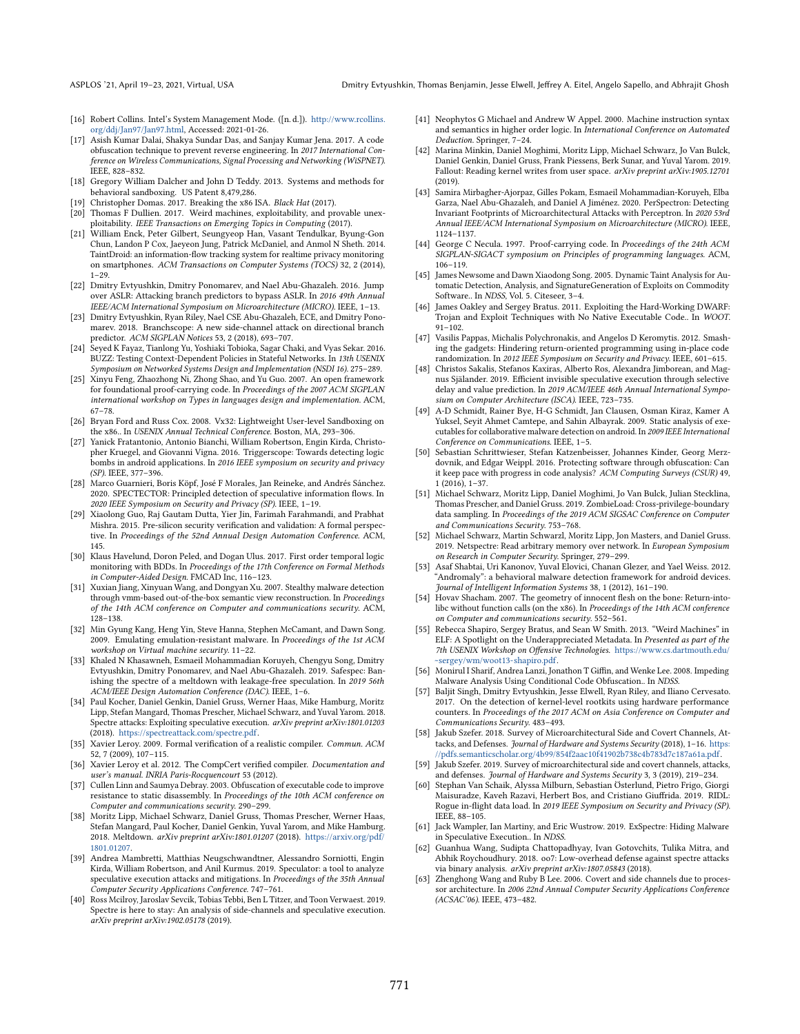- <span id="page-13-14"></span>[16] Robert Collins. Intel's System Management Mode. ([n. d.]). [http://www.rcollins.](http://www.rcollins.org/ddj/Jan97/Jan97.html) [org/ddj/Jan97/Jan97.html,](http://www.rcollins.org/ddj/Jan97/Jan97.html) Accessed: 2021-01-26.
- <span id="page-13-19"></span>[17] Asish Kumar Dalai, Shakya Sundar Das, and Sanjay Kumar Jena. 2017. A code obfuscation technique to prevent reverse engineering. In 2017 International Conference on Wireless Communications, Signal Processing and Networking (WiSPNET). IEEE, 828–832.
- <span id="page-13-12"></span>[18] Gregory William Dalcher and John D Teddy. 2013. Systems and methods for behavioral sandboxing. US Patent 8,479,286.
- <span id="page-13-15"></span>[19] Christopher Domas. 2017. Breaking the x86 ISA. Black Hat (2017).
- <span id="page-13-20"></span>[20] Thomas F Dullien. 2017. Weird machines, exploitability, and provable unexploitability. IEEE Transactions on Emerging Topics in Computing (2017).
- <span id="page-13-6"></span>[21] William Enck, Peter Gilbert, Seungyeop Han, Vasant Tendulkar, Byung-Gon Chun, Landon P Cox, Jaeyeon Jung, Patrick McDaniel, and Anmol N Sheth. 2014. TaintDroid: an information-flow tracking system for realtime privacy monitoring on smartphones. ACM Transactions on Computer Systems (TOCS) 32, 2 (2014), 1–29.
- <span id="page-13-32"></span>[22] Dmitry Evtyushkin, Dmitry Ponomarev, and Nael Abu-Ghazaleh. 2016. Jump over ASLR: Attacking branch predictors to bypass ASLR. In 2016 49th Annual IEEE/ACM International Symposium on Microarchitecture (MICRO). IEEE, 1–13.
- <span id="page-13-31"></span>[23] Dmitry Evtyushkin, Ryan Riley, Nael CSE Abu-Ghazaleh, ECE, and Dmitry Ponomarev. 2018. Branchscope: A new side-channel attack on directional branch predictor. ACM SIGPLAN Notices 53, 2 (2018), 693-707.
- <span id="page-13-2"></span>[24] Seyed K Fayaz, Tianlong Yu, Yoshiaki Tobioka, Sagar Chaki, and Vyas Sekar. 2016. BUZZ: Testing Context-Dependent Policies in Stateful Networks. In 13th USENIX Symposium on Networked Systems Design and Implementation (NSDI 16). 275–289.
- <span id="page-13-0"></span>[25] Xinyu Feng, Zhaozhong Ni, Zhong Shao, and Yu Guo. 2007. An open framework for foundational proof-carrying code. In Proceedings of the 2007 ACM SIGPLAN international workshop on Types in languages design and implementation. ACM, 67–78.
- <span id="page-13-13"></span>[26] Bryan Ford and Russ Cox. 2008. Vx32: Lightweight User-level Sandboxing on the x86.. In USENIX Annual Technical Conference. Boston, MA, 293–306.
- <span id="page-13-26"></span>[27] Yanick Fratantonio, Antonio Bianchi, William Robertson, Engin Kirda, Christopher Kruegel, and Giovanni Vigna. 2016. Triggerscope: Towards detecting logic bombs in android applications. In 2016 IEEE symposium on security and privacy (SP). IEEE, 377–396.
- <span id="page-13-42"></span>[28] Marco Guarnieri, Boris Köpf, José F Morales, Jan Reineke, and Andrés Sánchez. 2020. SPECTECTOR: Principled detection of speculative information flows. In 2020 IEEE Symposium on Security and Privacy (SP). IEEE, 1–19.
- <span id="page-13-4"></span>[29] Xiaolong Guo, Raj Gautam Dutta, Yier Jin, Farimah Farahmandi, and Prabhat Mishra. 2015. Pre-silicon security verification and validation: A formal perspective. In Proceedings of the 52nd Annual Design Automation Conference. ACM, 145.
- <span id="page-13-3"></span>[30] Klaus Havelund, Doron Peled, and Dogan Ulus. 2017. First order temporal logic monitoring with BDDs. In Proceedings of the 17th Conference on Formal Methods in Computer-Aided Design. FMCAD Inc, 116–123.
- <span id="page-13-8"></span>[31] Xuxian Jiang, Xinyuan Wang, and Dongyan Xu. 2007. Stealthy malware detection through vmm-based out-of-the-box semantic view reconstruction. In Proceedings of the 14th ACM conference on Computer and communications security. ACM, 128–138.
- <span id="page-13-9"></span>[32] Min Gyung Kang, Heng Yin, Steve Hanna, Stephen McCamant, and Dawn Song. 2009. Emulating emulation-resistant malware. In Proceedings of the 1st ACM workshop on Virtual machine security. 11–22.
- <span id="page-13-46"></span>[33] Khaled N Khasawneh, Esmaeil Mohammadian Koruyeh, Chengyu Song, Dmitry Evtyushkin, Dmitry Ponomarev, and Nael Abu-Ghazaleh. 2019. Safespec: Banishing the spectre of a meltdown with leakage-free speculation. In 2019 56th ACM/IEEE Design Automation Conference (DAC). IEEE, 1–6.
- <span id="page-13-35"></span>[34] Paul Kocher, Daniel Genkin, Daniel Gruss, Werner Haas, Mike Hamburg, Moritz Lipp, Stefan Mangard, Thomas Prescher, Michael Schwarz, and Yuval Yarom. 2018. Spectre attacks: Exploiting speculative execution. arXiv preprint arXiv:1801.01203 (2018). [https://spectreattack.com/spectre.pdf.](https://spectreattack.com/spectre.pdf)
- <span id="page-13-5"></span>[35] Xavier Leroy. 2009. Formal verification of a realistic compiler. Commun. ACM 52, 7 (2009), 107–115.
- <span id="page-13-24"></span>[36] Xavier Leroy et al. 2012. The CompCert verified compiler. Documentation and user's manual. INRIA Paris-Rocquencourt 53 (2012).
- <span id="page-13-16"></span>[37] Cullen Linn and Saumya Debray. 2003. Obfuscation of executable code to improve resistance to static disassembly. In Proceedings of the 10th ACM conference on Computer and communications security. 290–299.
- <span id="page-13-38"></span>[38] Moritz Lipp, Michael Schwarz, Daniel Gruss, Thomas Prescher, Werner Haas, Stefan Mangard, Paul Kocher, Daniel Genkin, Yuval Yarom, and Mike Hamburg. 2018. Meltdown. arXiv preprint arXiv:1801.01207 (2018). [https://arxiv.org/pdf/](https://arxiv.org/pdf/1801.01207) [1801.01207.](https://arxiv.org/pdf/1801.01207)
- <span id="page-13-34"></span>[39] Andrea Mambretti, Matthias Neugschwandtner, Alessandro Sorniotti, Engin Kirda, William Robertson, and Anil Kurmus. 2019. Speculator: a tool to analyze speculative execution attacks and mitigations. In Proceedings of the 35th Annual Computer Security Applications Conference. 747–761.
- <span id="page-13-28"></span>[40] Ross Mcilroy, Jaroslav Sevcik, Tobias Tebbi, Ben L Titzer, and Toon Verwaest. 2019. Spectre is here to stay: An analysis of side-channels and speculative execution. arXiv preprint arXiv:1902.05178 (2019).
- <span id="page-13-25"></span>[41] Neophytos G Michael and Andrew W Appel. 2000. Machine instruction syntax and semantics in higher order logic. In International Conference on Automated Deduction. Springer, 7–24.
- <span id="page-13-40"></span>[42] Marina Minkin, Daniel Moghimi, Moritz Lipp, Michael Schwarz, Jo Van Bulck, Daniel Genkin, Daniel Gruss, Frank Piessens, Berk Sunar, and Yuval Yarom. 2019. Fallout: Reading kernel writes from user space. arXiv preprint arXiv:1905.12701 (2019).
- <span id="page-13-45"></span>[43] Samira Mirbagher-Ajorpaz, Gilles Pokam, Esmaeil Mohammadian-Koruyeh, Elba Garza, Nael Abu-Ghazaleh, and Daniel A Jiménez. 2020. PerSpectron: Detecting Invariant Footprints of Microarchitectural Attacks with Perceptron. In 2020 53rd Annual IEEE/ACM International Symposium on Microarchitecture (MICRO). IEEE, 1124–1137.
- <span id="page-13-1"></span>[44] George C Necula. 1997. Proof-carrying code. In Proceedings of the 24th ACM SIGPLAN-SIGACT symposium on Principles of programming languages. ACM, 106–119.
- <span id="page-13-7"></span>[45] James Newsome and Dawn Xiaodong Song. 2005. Dynamic Taint Analysis for Automatic Detection, Analysis, and SignatureGeneration of Exploits on Commodity Software.. In NDSS, Vol. 5. Citeseer, 3–4.
- <span id="page-13-23"></span>[46] James Oakley and Sergey Bratus. 2011. Exploiting the Hard-Working DWARF: Trojan and Exploit Techniques with No Native Executable Code.. In WOOT. 91–102.
- <span id="page-13-27"></span>[47] Vasilis Pappas, Michalis Polychronakis, and Angelos D Keromytis. 2012. Smashing the gadgets: Hindering return-oriented programming using in-place code randomization. In 2012 IEEE Symposium on Security and Privacy. IEEE, 601–615.
- <span id="page-13-47"></span>[48] Christos Sakalis, Stefanos Kaxiras, Alberto Ros, Alexandra Jimborean, and Magnus Själander. 2019. Efficient invisible speculative execution through selective delay and value prediction. In 2019 ACM/IEEE 46th Annual International Symposium on Computer Architecture (ISCA). IEEE, 723–735.
- <span id="page-13-10"></span>[49] A-D Schmidt, Rainer Bye, H-G Schmidt, Jan Clausen, Osman Kiraz, Kamer A Yuksel, Seyit Ahmet Camtepe, and Sahin Albayrak. 2009. Static analysis of executables for collaborative malware detection on android. In 2009 IEEE International Conference on Communications. IEEE, 1–5.
- <span id="page-13-17"></span>[50] Sebastian Schrittwieser, Stefan Katzenbeisser, Johannes Kinder, Georg Merzdovnik, and Edgar Weippl. 2016. Protecting software through obfuscation: Can it keep pace with progress in code analysis? ACM Computing Surveys (CSUR) 49, 1 (2016), 1–37.
- <span id="page-13-36"></span>[51] Michael Schwarz, Moritz Lipp, Daniel Moghimi, Jo Van Bulck, Julian Stecklina, Thomas Prescher, and Daniel Gruss. 2019. ZombieLoad: Cross-privilege-boundary data sampling. In Proceedings of the 2019 ACM SIGSAC Conference on Computer and Communications Security. 753–768.
- <span id="page-13-33"></span>[52] Michael Schwarz, Martin Schwarzl, Moritz Lipp, Jon Masters, and Daniel Gruss. 2019. Netspectre: Read arbitrary memory over network. In European Symposium on Research in Computer Security. Springer, 279–299.
- <span id="page-13-11"></span>[53] Asaf Shabtai, Uri Kanonov, Yuval Elovici, Chanan Glezer, and Yael Weiss. 2012. "Andromaly": a behavioral malware detection framework for android devices. Journal of Intelligent Information Systems 38, 1 (2012), 161–190.
- <span id="page-13-21"></span>[54] Hovav Shacham. 2007. The geometry of innocent flesh on the bone: Return-intolibc without function calls (on the x86). In Proceedings of the 14th ACM conference on Computer and communications security. 552–561.
- <span id="page-13-22"></span>Rebecca Shapiro, Sergey Bratus, and Sean W Smith. 2013. "Weird Machines" in ELF: A Spotlight on the Underappreciated Metadata. In Presented as part of the 7th USENIX Workshop on Offensive Technologies. [https://www.cs.dartmouth.edu/](https://www.cs.dartmouth.edu/~sergey/wm/woot13-shapiro.pdf) sergey/wm/woot13-shapiro.pdf.
- <span id="page-13-18"></span>[56] Monirul I Sharif, Andrea Lanzi, Jonathon T Giffin, and Wenke Lee. 2008. Impeding Malware Analysis Using Conditional Code Obfuscation.. In NDSS.
- <span id="page-13-44"></span>[57] Baljit Singh, Dmitry Evtyushkin, Jesse Elwell, Ryan Riley, and Iliano Cervesato. 2017. On the detection of kernel-level rootkits using hardware performance counters. In Proceedings of the 2017 ACM on Asia Conference on Computer and Communications Security. 483–493.
- <span id="page-13-37"></span>[58] Jakub Szefer. 2018. Survey of Microarchitectural Side and Covert Channels, Attacks, and Defenses. Journal of Hardware and Systems Security (2018), 1-16. [https:](https://pdfs.semanticscholar.org/4b99/854f2aac10f41902b738c4b783d7c187a61a.pdf) [//pdfs.semanticscholar.org/4b99/854f2aac10f41902b738c4b783d7c187a61a.pdf.](https://pdfs.semanticscholar.org/4b99/854f2aac10f41902b738c4b783d7c187a61a.pdf)
- <span id="page-13-29"></span>[59] Jakub Szefer. 2019. Survey of microarchitectural side and covert channels, attacks, and defenses. Journal of Hardware and Systems Security 3, 3 (2019), 219–234.
- <span id="page-13-39"></span>[60] Stephan Van Schaik, Alyssa Milburn, Sebastian Österlund, Pietro Frigo, Giorgi Maisuradze, Kaveh Razavi, Herbert Bos, and Cristiano Giuffrida. 2019. RIDL: Rogue in-flight data load. In 2019 IEEE Symposium on Security and Privacy (SP). IEEE, 88–105.
- <span id="page-13-41"></span>[61] Jack Wampler, Ian Martiny, and Eric Wustrow. 2019. ExSpectre: Hiding Malware in Speculative Execution.. In NDSS.
- <span id="page-13-43"></span>[62] Guanhua Wang, Sudipta Chattopadhyay, Ivan Gotovchits, Tulika Mitra, and Abhik Roychoudhury. 2018. oo7: Low-overhead defense against spectre attacks via binary analysis. arXiv preprint arXiv:1807.05843 (2018).
- <span id="page-13-30"></span>[63] Zhenghong Wang and Ruby B Lee. 2006. Covert and side channels due to processor architecture. In 2006 22nd Annual Computer Security Applications Conference (ACSAC'06). IEEE, 473–482.